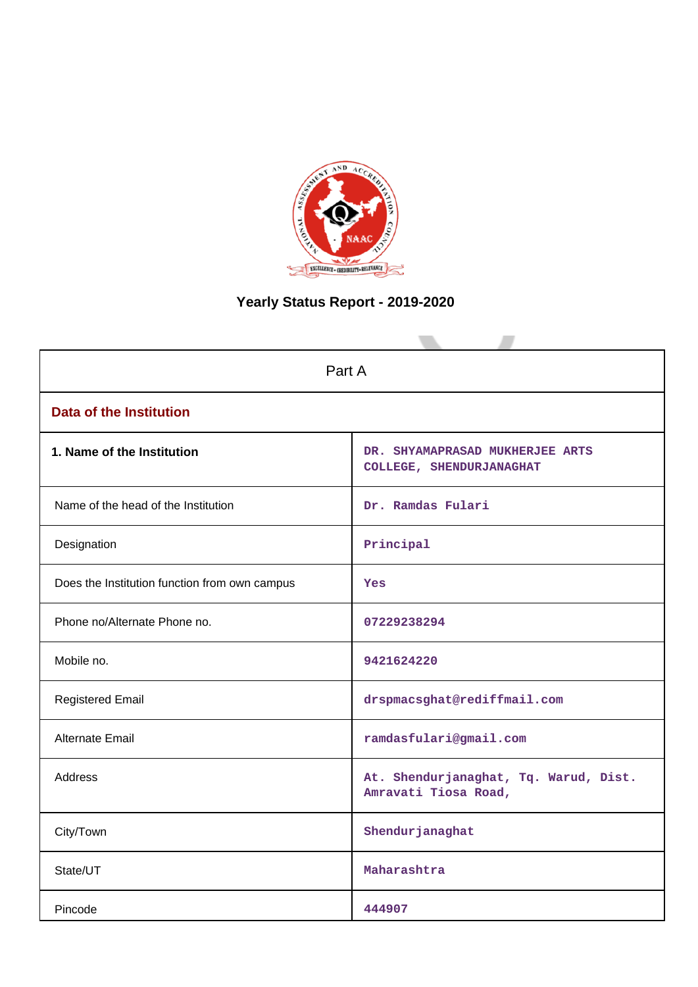

# **Yearly Status Report - 2019-2020**

| Part A                                        |                                                               |  |  |  |  |
|-----------------------------------------------|---------------------------------------------------------------|--|--|--|--|
| <b>Data of the Institution</b>                |                                                               |  |  |  |  |
| 1. Name of the Institution                    | DR. SHYAMAPRASAD MUKHERJEE ARTS<br>COLLEGE, SHENDURJANAGHAT   |  |  |  |  |
| Name of the head of the Institution           | Dr. Ramdas Fulari                                             |  |  |  |  |
| Designation                                   | Principal                                                     |  |  |  |  |
| Does the Institution function from own campus | Yes                                                           |  |  |  |  |
| Phone no/Alternate Phone no.                  | 07229238294                                                   |  |  |  |  |
| Mobile no.                                    | 9421624220                                                    |  |  |  |  |
| <b>Registered Email</b>                       | drspmacsghat@rediffmail.com                                   |  |  |  |  |
| Alternate Email                               | ramdasfulari@gmail.com                                        |  |  |  |  |
| <b>Address</b>                                | At. Shendurjanaghat, Tq. Warud, Dist.<br>Amravati Tiosa Road, |  |  |  |  |
| City/Town                                     | Shendurjanaghat                                               |  |  |  |  |
| State/UT                                      | Maharashtra                                                   |  |  |  |  |
| Pincode                                       | 444907                                                        |  |  |  |  |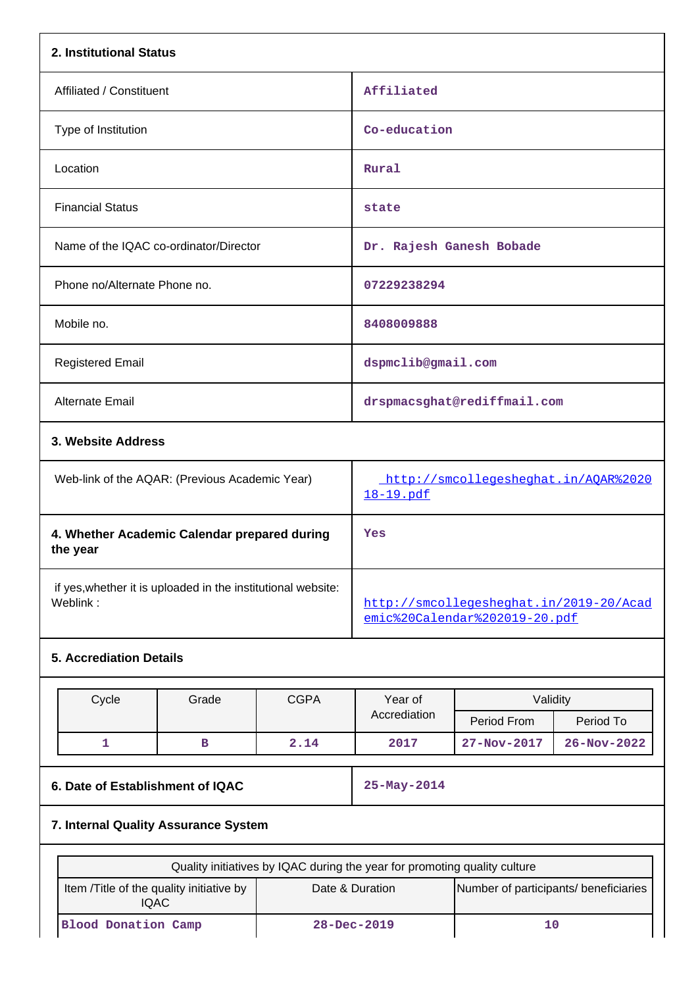| 2. Institutional Status                                                  |                                                                           |      |                                                                          |                             |                   |  |
|--------------------------------------------------------------------------|---------------------------------------------------------------------------|------|--------------------------------------------------------------------------|-----------------------------|-------------------|--|
| Affiliated / Constituent                                                 |                                                                           |      | Affiliated                                                               |                             |                   |  |
| Type of Institution                                                      |                                                                           |      | Co-education                                                             |                             |                   |  |
| Location                                                                 |                                                                           |      | Rural                                                                    |                             |                   |  |
| <b>Financial Status</b>                                                  |                                                                           |      | state                                                                    |                             |                   |  |
| Name of the IQAC co-ordinator/Director                                   |                                                                           |      | Dr. Rajesh Ganesh Bobade                                                 |                             |                   |  |
| Phone no/Alternate Phone no.                                             |                                                                           |      | 07229238294                                                              |                             |                   |  |
| Mobile no.                                                               |                                                                           |      | 8408009888                                                               |                             |                   |  |
| <b>Registered Email</b>                                                  |                                                                           |      | dspmclib@gmail.com                                                       |                             |                   |  |
| Alternate Email                                                          |                                                                           |      |                                                                          | drspmacsghat@rediffmail.com |                   |  |
| 3. Website Address                                                       |                                                                           |      |                                                                          |                             |                   |  |
| Web-link of the AQAR: (Previous Academic Year)                           |                                                                           |      | http://smcollegesheghat.in/AQAR%2020<br>18-19.pdf                        |                             |                   |  |
| the year                                                                 | 4. Whether Academic Calendar prepared during                              |      |                                                                          | Yes                         |                   |  |
| if yes, whether it is uploaded in the institutional website:<br>Weblink: |                                                                           |      | http://smcollegesheghat.in/2019-20/Acad<br>emic%20Calendar%202019-20.pdf |                             |                   |  |
| <b>5. Accrediation Details</b>                                           |                                                                           |      |                                                                          |                             |                   |  |
| Grade<br><b>CGPA</b>                                                     |                                                                           |      | Year of<br>Validity                                                      |                             |                   |  |
| Cycle                                                                    |                                                                           |      | Accrediation                                                             | Period From                 | Period To         |  |
| 1                                                                        | в                                                                         | 2.14 | 2017                                                                     | 27-Nov-2017                 | $26 - Nov - 2022$ |  |
| 6. Date of Establishment of IQAC                                         |                                                                           |      | 25-May-2014                                                              |                             |                   |  |
|                                                                          | 7. Internal Quality Assurance System                                      |      |                                                                          |                             |                   |  |
|                                                                          | Quality initiatives by IQAC during the year for promoting quality culture |      |                                                                          |                             |                   |  |

| Quality initiatives by IQAC during the year for profitually quality culture |                   |                                       |  |  |
|-----------------------------------------------------------------------------|-------------------|---------------------------------------|--|--|
| Item / Title of the quality initiative by<br><b>IQAC</b>                    | Date & Duration   | Number of participants/ beneficiaries |  |  |
| Blood Donation Camp                                                         | $28 - Dec - 2019$ |                                       |  |  |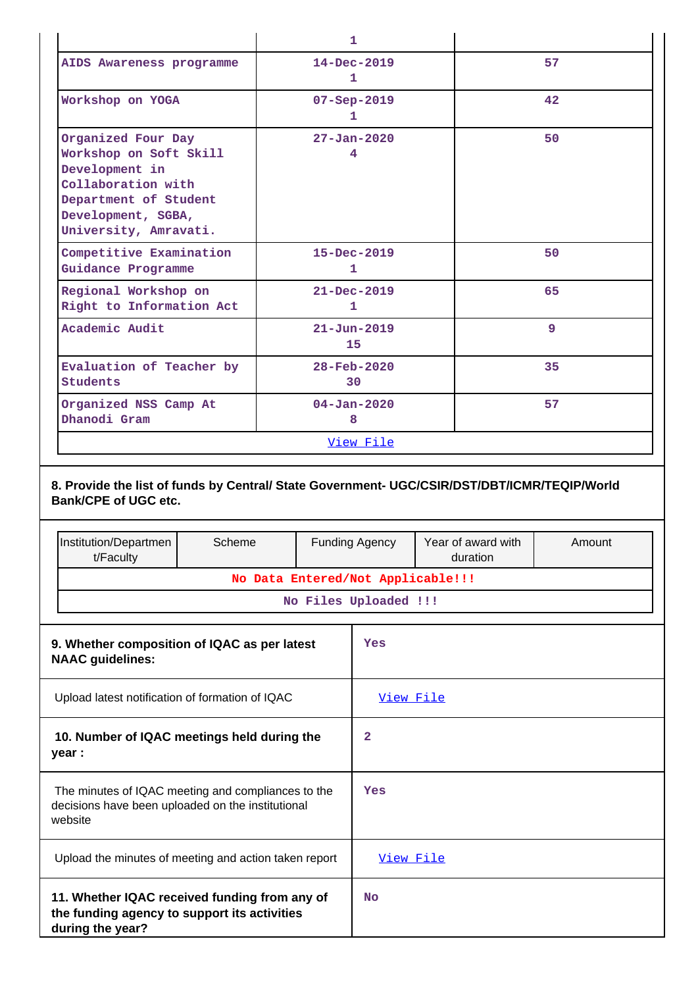|                                                                                                                                                              | 1                              |              |
|--------------------------------------------------------------------------------------------------------------------------------------------------------------|--------------------------------|--------------|
| AIDS Awareness programme                                                                                                                                     | $14 - Dec - 2019$<br>1         | 57           |
| Workshop on YOGA                                                                                                                                             | $07 - Sep - 2019$<br>1         | $42^{\circ}$ |
| Organized Four Day<br>Workshop on Soft Skill<br>Development in<br>Collaboration with<br>Department of Student<br>Development, SGBA,<br>University, Amravati. | $27 - Jan - 2020$<br>4         | 50           |
| Competitive Examination<br>Guidance Programme                                                                                                                | $15 - Dec - 2019$<br>1         | 50           |
| Regional Workshop on<br>Right to Information Act                                                                                                             | $21 - Dec - 2019$<br>1         | 65           |
| Academic Audit                                                                                                                                               | $21 - Jun - 2019$<br>15        | 9            |
| Evaluation of Teacher by<br><b>Students</b>                                                                                                                  | $28 - \text{Feb} - 2020$<br>30 | 35           |
| Organized NSS Camp At<br>Dhanodi Gram                                                                                                                        | $04 - Jan - 2020$<br>8         | 57           |
|                                                                                                                                                              | View File                      |              |

# **8. Provide the list of funds by Central/ State Government- UGC/CSIR/DST/DBT/ICMR/TEQIP/World Bank/CPE of UGC etc.**

|                                                                                                                    | Institution/Departmen<br>t/Faculty                                                                                | Scheme                            |           | <b>Funding Agency</b> | Year of award with<br>duration | Amount |  |
|--------------------------------------------------------------------------------------------------------------------|-------------------------------------------------------------------------------------------------------------------|-----------------------------------|-----------|-----------------------|--------------------------------|--------|--|
|                                                                                                                    |                                                                                                                   | No Data Entered/Not Applicable!!! |           |                       |                                |        |  |
|                                                                                                                    |                                                                                                                   |                                   |           | No Files Uploaded !!! |                                |        |  |
| 9. Whether composition of IQAC as per latest<br><b>NAAC</b> guidelines:                                            |                                                                                                                   |                                   |           | Yes                   |                                |        |  |
| Upload latest notification of formation of IQAC                                                                    |                                                                                                                   |                                   | View File |                       |                                |        |  |
| 10. Number of IQAC meetings held during the<br>year :                                                              |                                                                                                                   |                                   | 2         |                       |                                |        |  |
| The minutes of IQAC meeting and compliances to the<br>decisions have been uploaded on the institutional<br>website |                                                                                                                   |                                   | Yes       |                       |                                |        |  |
|                                                                                                                    | Upload the minutes of meeting and action taken report                                                             |                                   |           | View File             |                                |        |  |
|                                                                                                                    | 11. Whether IQAC received funding from any of<br>the funding agency to support its activities<br>during the year? |                                   |           | No                    |                                |        |  |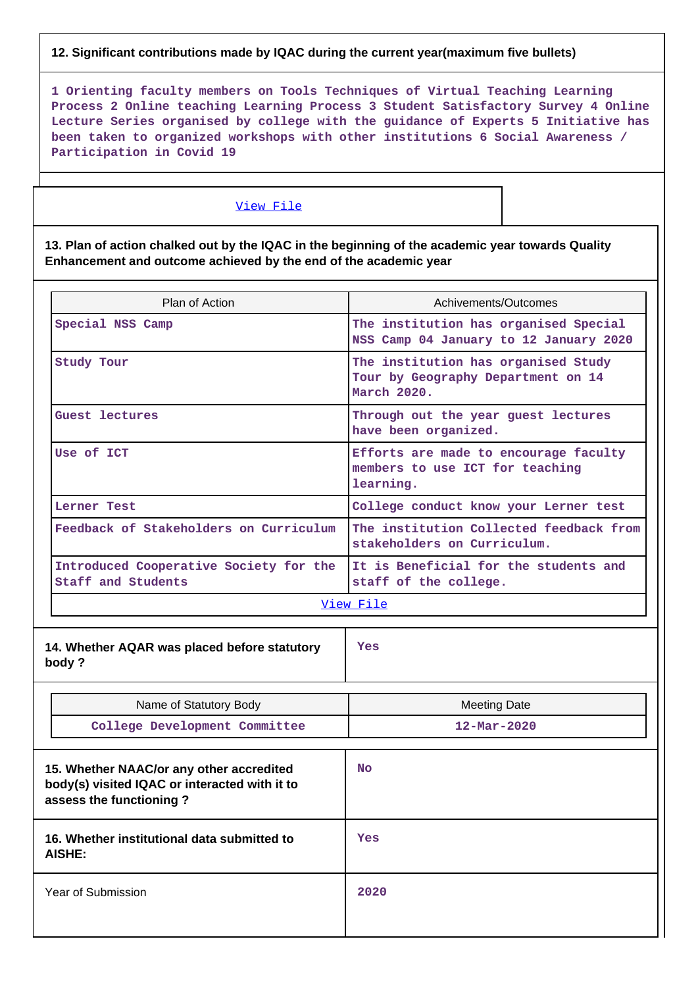### **12. Significant contributions made by IQAC during the current year(maximum five bullets)**

**1 Orienting faculty members on Tools Techniques of Virtual Teaching Learning Process 2 Online teaching Learning Process 3 Student Satisfactory Survey 4 Online Lecture Series organised by college with the guidance of Experts 5 Initiative has been taken to organized workshops with other institutions 6 Social Awareness / Participation in Covid 19**

#### [View File](https://assessmentonline.naac.gov.in/public/Postacc/Contribution/19326_Contribution.xlsx)

**13. Plan of action chalked out by the IQAC in the beginning of the academic year towards Quality Enhancement and outcome achieved by the end of the academic year**

| Plan of Action                                                                                                       | Achivements/Outcomes                                                                     |  |  |
|----------------------------------------------------------------------------------------------------------------------|------------------------------------------------------------------------------------------|--|--|
| Special NSS Camp                                                                                                     | The institution has organised Special<br>NSS Camp 04 January to 12 January 2020          |  |  |
| Study Tour                                                                                                           | The institution has organised Study<br>Tour by Geography Department on 14<br>March 2020. |  |  |
| Guest lectures                                                                                                       | Through out the year guest lectures<br>have been organized.                              |  |  |
| Use of ICT                                                                                                           | Efforts are made to encourage faculty<br>members to use ICT for teaching<br>learning.    |  |  |
| Lerner Test                                                                                                          | College conduct know your Lerner test                                                    |  |  |
| Feedback of Stakeholders on Curriculum                                                                               | The institution Collected feedback from<br>stakeholders on Curriculum.                   |  |  |
| Introduced Cooperative Society for the<br>Staff and Students                                                         | It is Beneficial for the students and<br>staff of the college.                           |  |  |
|                                                                                                                      | View File                                                                                |  |  |
| 14. Whether AQAR was placed before statutory<br>body ?                                                               | Yes                                                                                      |  |  |
| Name of Statutory Body                                                                                               | <b>Meeting Date</b>                                                                      |  |  |
| College Development Committee                                                                                        | $12 - \text{Mar} - 2020$                                                                 |  |  |
| 15. Whether NAAC/or any other accredited<br>body(s) visited IQAC or interacted with it to<br>assess the functioning? | <b>No</b>                                                                                |  |  |
| 16. Whether institutional data submitted to<br><b>AISHE:</b>                                                         | Yes                                                                                      |  |  |
| Year of Submission                                                                                                   | 2020                                                                                     |  |  |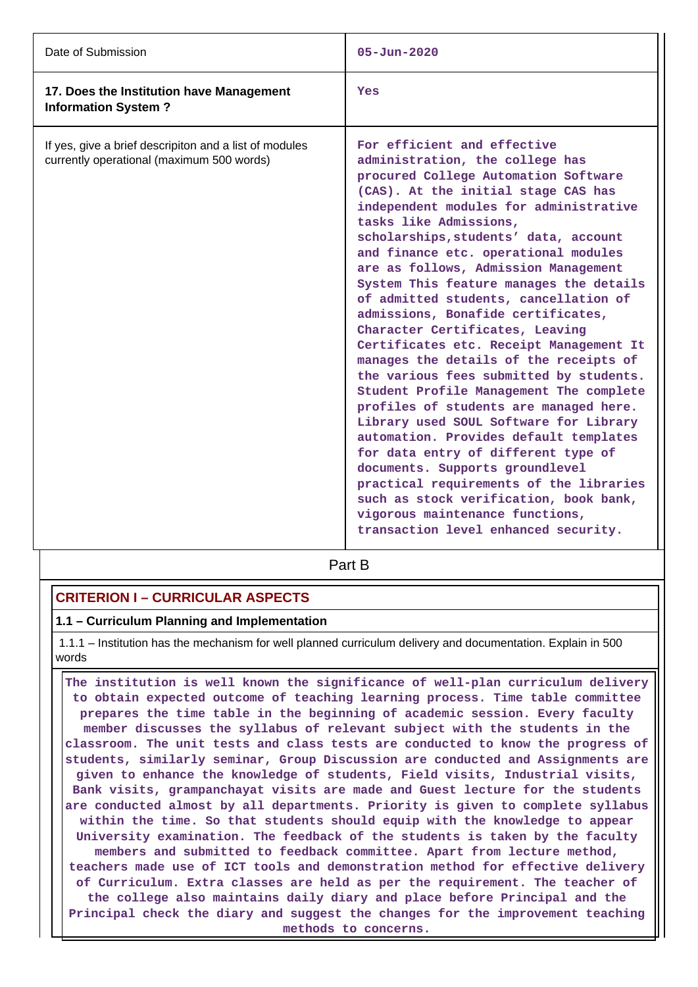| Date of Submission                                                                                  | $05 - Jun - 2020$                                                                                                                                                                                                                                                                                                                                                                                                                                                                                                                                                                                                                                                                                                                                                                                                                                                                                                                                                                                                                                          |
|-----------------------------------------------------------------------------------------------------|------------------------------------------------------------------------------------------------------------------------------------------------------------------------------------------------------------------------------------------------------------------------------------------------------------------------------------------------------------------------------------------------------------------------------------------------------------------------------------------------------------------------------------------------------------------------------------------------------------------------------------------------------------------------------------------------------------------------------------------------------------------------------------------------------------------------------------------------------------------------------------------------------------------------------------------------------------------------------------------------------------------------------------------------------------|
| 17. Does the Institution have Management<br><b>Information System?</b>                              | Yes                                                                                                                                                                                                                                                                                                                                                                                                                                                                                                                                                                                                                                                                                                                                                                                                                                                                                                                                                                                                                                                        |
| If yes, give a brief descripiton and a list of modules<br>currently operational (maximum 500 words) | For efficient and effective<br>administration, the college has<br>procured College Automation Software<br>(CAS). At the initial stage CAS has<br>independent modules for administrative<br>tasks like Admissions,<br>scholarships, students' data, account<br>and finance etc. operational modules<br>are as follows, Admission Management<br>System This feature manages the details<br>of admitted students, cancellation of<br>admissions, Bonafide certificates,<br>Character Certificates, Leaving<br>Certificates etc. Receipt Management It<br>manages the details of the receipts of<br>the various fees submitted by students.<br>Student Profile Management The complete<br>profiles of students are managed here.<br>Library used SOUL Software for Library<br>automation. Provides default templates<br>for data entry of different type of<br>documents. Supports groundlevel<br>practical requirements of the libraries<br>such as stock verification, book bank,<br>vigorous maintenance functions,<br>transaction level enhanced security. |

**Part B** 

### **CRITERION I – CURRICULAR ASPECTS**

### **1.1 – Curriculum Planning and Implementation**

 1.1.1 – Institution has the mechanism for well planned curriculum delivery and documentation. Explain in 500 words

 **The institution is well known the significance of well-plan curriculum delivery to obtain expected outcome of teaching learning process. Time table committee prepares the time table in the beginning of academic session. Every faculty member discusses the syllabus of relevant subject with the students in the classroom. The unit tests and class tests are conducted to know the progress of students, similarly seminar, Group Discussion are conducted and Assignments are given to enhance the knowledge of students, Field visits, Industrial visits, Bank visits, grampanchayat visits are made and Guest lecture for the students are conducted almost by all departments. Priority is given to complete syllabus within the time. So that students should equip with the knowledge to appear University examination. The feedback of the students is taken by the faculty members and submitted to feedback committee. Apart from lecture method, teachers made use of ICT tools and demonstration method for effective delivery of Curriculum. Extra classes are held as per the requirement. The teacher of the college also maintains daily diary and place before Principal and the Principal check the diary and suggest the changes for the improvement teaching methods to concerns.**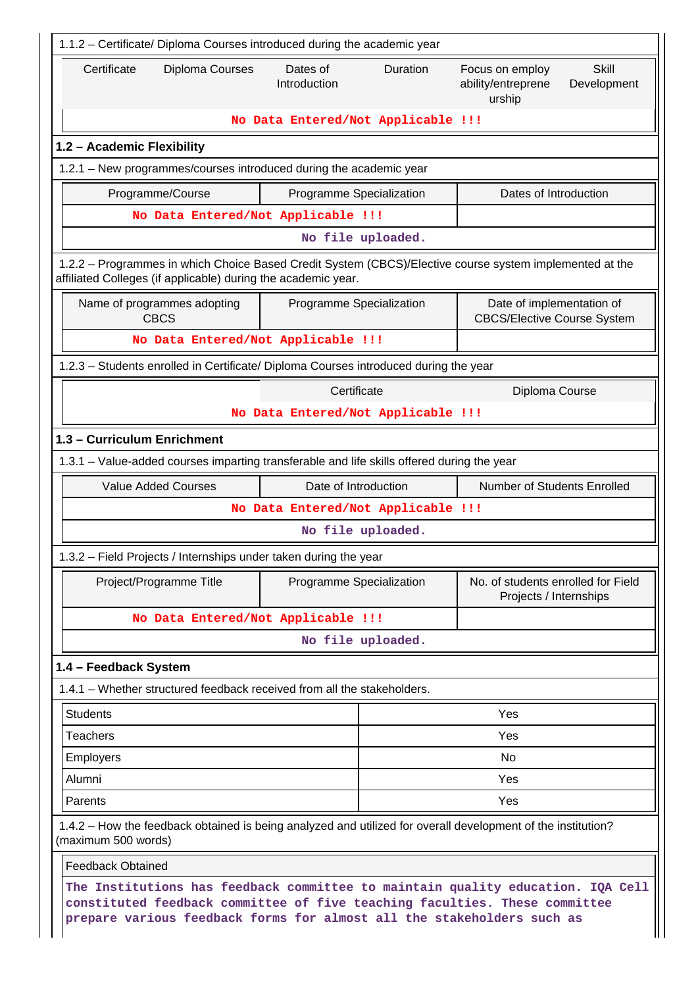| 1.1.2 - Certificate/ Diploma Courses introduced during the academic year                                                                                                                                                                |                                                     |                   |                                                                         |  |  |
|-----------------------------------------------------------------------------------------------------------------------------------------------------------------------------------------------------------------------------------------|-----------------------------------------------------|-------------------|-------------------------------------------------------------------------|--|--|
| Certificate<br>Diploma Courses                                                                                                                                                                                                          | Dates of<br>Introduction                            | Duration          | Skill<br>Focus on employ<br>ability/entreprene<br>Development<br>urship |  |  |
|                                                                                                                                                                                                                                         | No Data Entered/Not Applicable !!!                  |                   |                                                                         |  |  |
| 1.2 - Academic Flexibility                                                                                                                                                                                                              |                                                     |                   |                                                                         |  |  |
| 1.2.1 - New programmes/courses introduced during the academic year                                                                                                                                                                      |                                                     |                   |                                                                         |  |  |
| Programme/Course                                                                                                                                                                                                                        | Programme Specialization                            |                   | Dates of Introduction                                                   |  |  |
| No Data Entered/Not Applicable !!!                                                                                                                                                                                                      |                                                     |                   |                                                                         |  |  |
|                                                                                                                                                                                                                                         |                                                     | No file uploaded. |                                                                         |  |  |
| 1.2.2 - Programmes in which Choice Based Credit System (CBCS)/Elective course system implemented at the<br>affiliated Colleges (if applicable) during the academic year.                                                                |                                                     |                   |                                                                         |  |  |
| Name of programmes adopting<br><b>CBCS</b>                                                                                                                                                                                              | Programme Specialization                            |                   | Date of implementation of<br><b>CBCS/Elective Course System</b>         |  |  |
| No Data Entered/Not Applicable !!!                                                                                                                                                                                                      |                                                     |                   |                                                                         |  |  |
| 1.2.3 - Students enrolled in Certificate/ Diploma Courses introduced during the year                                                                                                                                                    |                                                     |                   |                                                                         |  |  |
|                                                                                                                                                                                                                                         | Certificate<br>No Data Entered/Not Applicable !!!   |                   | Diploma Course                                                          |  |  |
| 1.3 - Curriculum Enrichment                                                                                                                                                                                                             |                                                     |                   |                                                                         |  |  |
| 1.3.1 – Value-added courses imparting transferable and life skills offered during the year                                                                                                                                              |                                                     |                   |                                                                         |  |  |
| <b>Value Added Courses</b>                                                                                                                                                                                                              | Date of Introduction<br>Number of Students Enrolled |                   |                                                                         |  |  |
|                                                                                                                                                                                                                                         | No Data Entered/Not Applicable !!!                  |                   |                                                                         |  |  |
|                                                                                                                                                                                                                                         |                                                     | No file uploaded. |                                                                         |  |  |
| 1.3.2 - Field Projects / Internships under taken during the year                                                                                                                                                                        |                                                     |                   |                                                                         |  |  |
| Project/Programme Title                                                                                                                                                                                                                 | Programme Specialization                            |                   | No. of students enrolled for Field<br>Projects / Internships            |  |  |
| No Data Entered/Not Applicable !!!                                                                                                                                                                                                      |                                                     |                   |                                                                         |  |  |
|                                                                                                                                                                                                                                         |                                                     | No file uploaded. |                                                                         |  |  |
| 1.4 - Feedback System                                                                                                                                                                                                                   |                                                     |                   |                                                                         |  |  |
| 1.4.1 – Whether structured feedback received from all the stakeholders.                                                                                                                                                                 |                                                     |                   |                                                                         |  |  |
| <b>Students</b>                                                                                                                                                                                                                         |                                                     |                   | Yes                                                                     |  |  |
| <b>Teachers</b>                                                                                                                                                                                                                         |                                                     | Yes               |                                                                         |  |  |
| Employers                                                                                                                                                                                                                               |                                                     |                   | No                                                                      |  |  |
| Alumni                                                                                                                                                                                                                                  |                                                     | Yes               |                                                                         |  |  |
| Parents                                                                                                                                                                                                                                 |                                                     |                   | Yes                                                                     |  |  |
| 1.4.2 - How the feedback obtained is being analyzed and utilized for overall development of the institution?<br>(maximum 500 words)                                                                                                     |                                                     |                   |                                                                         |  |  |
| <b>Feedback Obtained</b>                                                                                                                                                                                                                |                                                     |                   |                                                                         |  |  |
| The Institutions has feedback committee to maintain quality education. IQA Cell<br>constituted feedback committee of five teaching faculties. These committee<br>prepare various feedback forms for almost all the stakeholders such as |                                                     |                   |                                                                         |  |  |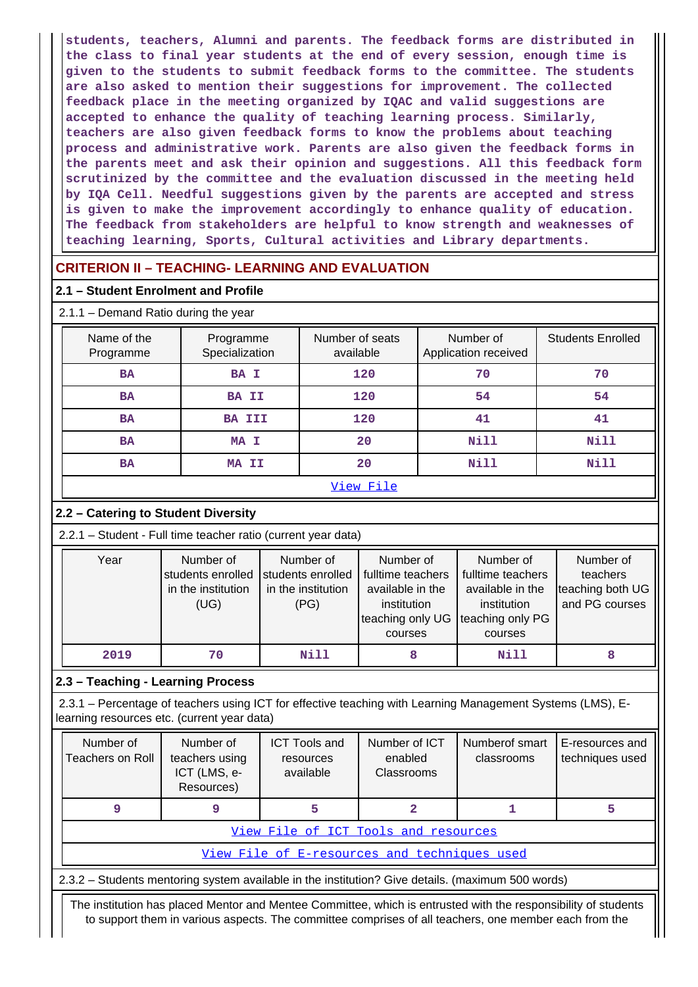**students, teachers, Alumni and parents. The feedback forms are distributed in the class to final year students at the end of every session, enough time is given to the students to submit feedback forms to the committee. The students are also asked to mention their suggestions for improvement. The collected feedback place in the meeting organized by IQAC and valid suggestions are accepted to enhance the quality of teaching learning process. Similarly, teachers are also given feedback forms to know the problems about teaching process and administrative work. Parents are also given the feedback forms in the parents meet and ask their opinion and suggestions. All this feedback form scrutinized by the committee and the evaluation discussed in the meeting held by IQA Cell. Needful suggestions given by the parents are accepted and stress is given to make the improvement accordingly to enhance quality of education. The feedback from stakeholders are helpful to know strength and weaknesses of teaching learning, Sports, Cultural activities and Library departments.**

## **CRITERION II – TEACHING- LEARNING AND EVALUATION**

### **2.1 – Student Enrolment and Profile**

| $2.1.1 -$ Demand Ratio during the year |                             |                              |                                   |                          |  |
|----------------------------------------|-----------------------------|------------------------------|-----------------------------------|--------------------------|--|
| Name of the<br>Programme               | Programme<br>Specialization | Number of seats<br>available | Number of<br>Application received | <b>Students Enrolled</b> |  |
| <b>BA</b>                              | <b>BA I</b>                 | 120                          | 70                                | 70                       |  |
| <b>BA</b>                              | <b>BA II</b>                | 120                          | 54                                | 54                       |  |
| <b>BA</b>                              | <b>BA III</b>               | 120                          | 41                                | 41                       |  |
| <b>BA</b>                              | MA I                        | 20                           | Nill                              | Nill                     |  |
| <b>BA</b>                              | MA II                       | 20                           | Nill                              | Nill                     |  |
|                                        |                             |                              |                                   |                          |  |

#### [View File](https://assessmentonline.naac.gov.in/public/Postacc/Demand_ratio/19326_Demand_ratio_1644552259.xlsx)

### **2.2 – Catering to Student Diversity**

2.2.1 – Student - Full time teacher ratio (current year data)

| Year | Number of<br>students enrolled<br>in the institution<br>(UG) | Number of<br>students enrolled<br>in the institution<br>(PG) | Number of<br>fulltime teachers<br>available in the<br>institution<br>teaching only UG | Number of<br>fulltime teachers<br>available in the<br>institution<br>teaching only PG | Number of<br>teachers<br>teaching both UG<br>and PG courses |
|------|--------------------------------------------------------------|--------------------------------------------------------------|---------------------------------------------------------------------------------------|---------------------------------------------------------------------------------------|-------------------------------------------------------------|
|      |                                                              |                                                              | courses                                                                               | courses                                                                               |                                                             |
| 2019 | 70                                                           | Nill                                                         | 8                                                                                     | Nill                                                                                  |                                                             |

### **2.3 – Teaching - Learning Process**

 2.3.1 – Percentage of teachers using ICT for effective teaching with Learning Management Systems (LMS), Elearning resources etc. (current year data)

| Number of<br>Teachers on Roll | Number of<br>teachers using<br>ICT (LMS, e-<br>Resources) | <b>ICT Tools and</b><br>resources<br>available | Number of ICT<br>enabled<br>Classrooms | Numberof smart<br>classrooms | E-resources and<br>techniques used |  |
|-------------------------------|-----------------------------------------------------------|------------------------------------------------|----------------------------------------|------------------------------|------------------------------------|--|
| 9                             |                                                           |                                                |                                        |                              |                                    |  |
|                               | View File of ICT Tools and resources                      |                                                |                                        |                              |                                    |  |
|                               | View File of E-resources and techniques used              |                                                |                                        |                              |                                    |  |

2.3.2 – Students mentoring system available in the institution? Give details. (maximum 500 words)

 The institution has placed Mentor and Mentee Committee, which is entrusted with the responsibility of students to support them in various aspects. The committee comprises of all teachers, one member each from the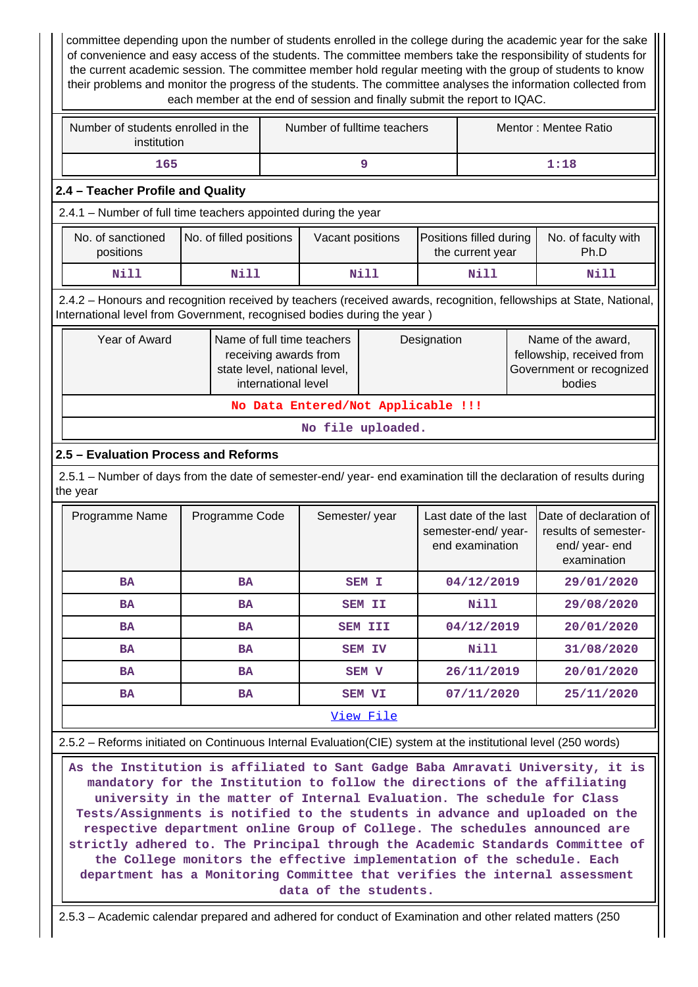committee depending upon the number of students enrolled in the college during the academic year for the sake of convenience and easy access of the students. The committee members take the responsibility of students for the current academic session. The committee member hold regular meeting with the group of students to know their problems and monitor the progress of the students. The committee analyses the information collected from each member at the end of session and finally submit the report to IQAC.

| Number of students enrolled in the<br>institution | Number of fulltime teachers | Mentor: Mentee Ratio |
|---------------------------------------------------|-----------------------------|----------------------|
| 165                                               |                             | 1:18                 |

### **2.4 – Teacher Profile and Quality**

2.4.1 – Number of full time teachers appointed during the year

| No. of sanctioned<br>positions | No. of filled positions | Vacant positions | Positions filled during<br>the current year | No. of faculty with<br>Ph.D |  |
|--------------------------------|-------------------------|------------------|---------------------------------------------|-----------------------------|--|
| Nill                           | Nill                    | Nill             | Nill                                        | Nill                        |  |

 2.4.2 – Honours and recognition received by teachers (received awards, recognition, fellowships at State, National, International level from Government, recognised bodies during the year )

| Year of Award                      | Name of full time teachers<br>receiving awards from<br>state level, national level,<br>international level | Designation | Name of the award,<br>fellowship, received from<br>Government or recognized<br>bodies |  |  |  |  |  |
|------------------------------------|------------------------------------------------------------------------------------------------------------|-------------|---------------------------------------------------------------------------------------|--|--|--|--|--|
| No Data Entered/Not Applicable !!! |                                                                                                            |             |                                                                                       |  |  |  |  |  |

**No file uploaded.**

### **2.5 – Evaluation Process and Reforms**

 2.5.1 – Number of days from the date of semester-end/ year- end examination till the declaration of results during the year

| Programme Name         | Programme Code | Semester/year  | Last date of the last<br>semester-end/year-<br>end examination | Date of declaration of<br>results of semester-<br>end/year-end<br>examination |  |
|------------------------|----------------|----------------|----------------------------------------------------------------|-------------------------------------------------------------------------------|--|
| <b>BA</b>              | <b>BA</b>      | <b>SEM I</b>   | 04/12/2019                                                     | 29/01/2020                                                                    |  |
| <b>BA</b>              | <b>BA</b>      | <b>SEM II</b>  | Nill                                                           | 29/08/2020                                                                    |  |
| <b>BA</b>              | <b>BA</b>      | <b>SEM III</b> | 04/12/2019                                                     | 20/01/2020                                                                    |  |
| <b>BA</b>              | <b>BA</b>      | <b>SEM IV</b>  | Nill                                                           | 31/08/2020                                                                    |  |
| <b>BA</b>              | <b>BA</b>      | SEM V          | 26/11/2019                                                     | 20/01/2020                                                                    |  |
| <b>BA</b><br><b>BA</b> |                | <b>SEM VI</b>  | 07/11/2020                                                     | 25/11/2020                                                                    |  |
|                        |                | View File      |                                                                |                                                                               |  |

| 2.5.2 – Reforms initiated on Continuous Internal Evaluation(CIE) system at the institutional level (250 words) |  |  |
|----------------------------------------------------------------------------------------------------------------|--|--|
|----------------------------------------------------------------------------------------------------------------|--|--|

 **As the Institution is affiliated to Sant Gadge Baba Amravati University, it is mandatory for the Institution to follow the directions of the affiliating university in the matter of Internal Evaluation. The schedule for Class Tests/Assignments is notified to the students in advance and uploaded on the respective department online Group of College. The schedules announced are strictly adhered to. The Principal through the Academic Standards Committee of the College monitors the effective implementation of the schedule. Each department has a Monitoring Committee that verifies the internal assessment data of the students.**

2.5.3 – Academic calendar prepared and adhered for conduct of Examination and other related matters (250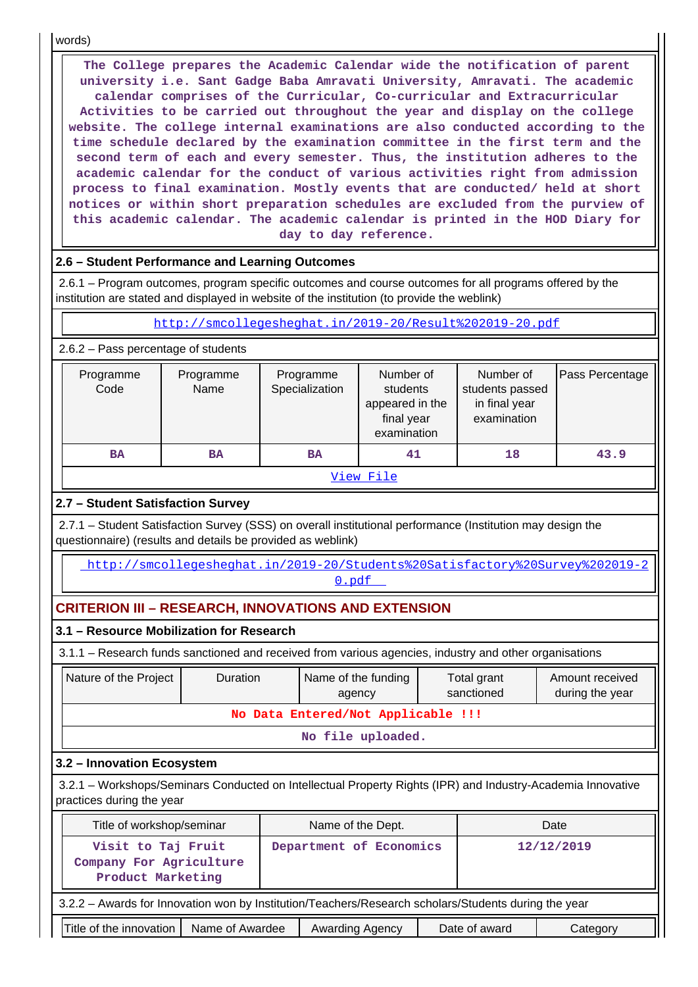words)

 **The College prepares the Academic Calendar wide the notification of parent university i.e. Sant Gadge Baba Amravati University, Amravati. The academic calendar comprises of the Curricular, Co-curricular and Extracurricular Activities to be carried out throughout the year and display on the college website. The college internal examinations are also conducted according to the time schedule declared by the examination committee in the first term and the second term of each and every semester. Thus, the institution adheres to the academic calendar for the conduct of various activities right from admission process to final examination. Mostly events that are conducted/ held at short notices or within short preparation schedules are excluded from the purview of this academic calendar. The academic calendar is printed in the HOD Diary for day to day reference.**

### **2.6 – Student Performance and Learning Outcomes**

 2.6.1 – Program outcomes, program specific outcomes and course outcomes for all programs offered by the institution are stated and displayed in website of the institution (to provide the weblink)

#### <http://smcollegesheghat.in/2019-20/Result%202019-20.pdf>

2.6.2 – Pass percentage of students

| Programme<br>Code | Programme<br>Name | Programme<br>Specialization | Number of<br>students<br>appeared in the<br>final year<br>examination | Number of<br>students passed<br>in final year<br>examination | Pass Percentage |  |  |  |  |
|-------------------|-------------------|-----------------------------|-----------------------------------------------------------------------|--------------------------------------------------------------|-----------------|--|--|--|--|
| <b>BA</b><br>BA   |                   | <b>BA</b>                   | 41                                                                    | 18                                                           | 43.9            |  |  |  |  |
| View File         |                   |                             |                                                                       |                                                              |                 |  |  |  |  |

### **2.7 – Student Satisfaction Survey**

 2.7.1 – Student Satisfaction Survey (SSS) on overall institutional performance (Institution may design the questionnaire) (results and details be provided as weblink)

 [http://smcollegesheghat.in/2019-20/Students%20Satisfactory%20Survey%202019-2](http://smcollegesheghat.in/2019-20/Students%20Satisfactory%20Survey%202019-20.pdf) [0.pdf](http://smcollegesheghat.in/2019-20/Students%20Satisfactory%20Survey%202019-20.pdf) 

### **CRITERION III – RESEARCH, INNOVATIONS AND EXTENSION**

### **3.1 – Resource Mobilization for Research**

3.1.1 – Research funds sanctioned and received from various agencies, industry and other organisations

| Nature of the Project                                                                                                                    | <b>Duration</b> | Name of the funding<br>agency | Total grant<br>sanctioned | Amount received<br>during the year |  |  |  |  |  |
|------------------------------------------------------------------------------------------------------------------------------------------|-----------------|-------------------------------|---------------------------|------------------------------------|--|--|--|--|--|
| No Data Entered/Not Applicable !!!                                                                                                       |                 |                               |                           |                                    |  |  |  |  |  |
| No file uploaded.                                                                                                                        |                 |                               |                           |                                    |  |  |  |  |  |
| 3.2 - Innovation Ecosystem                                                                                                               |                 |                               |                           |                                    |  |  |  |  |  |
| 3.2.1 – Workshops/Seminars Conducted on Intellectual Property Rights (IPR) and Industry-Academia Innovative<br>practices during the year |                 |                               |                           |                                    |  |  |  |  |  |

| Title of workshop/seminar                                                                            | Name of the Dept.       |  | Date       |  |  |  |  |  |
|------------------------------------------------------------------------------------------------------|-------------------------|--|------------|--|--|--|--|--|
| Visit to Taj Fruit<br>Company For Agriculture<br>Product Marketing                                   | Department of Economics |  | 12/12/2019 |  |  |  |  |  |
| 3.2.2 - Awards for Innovation won by Institution/Teachers/Research scholars/Students during the year |                         |  |            |  |  |  |  |  |
| Title of the innovation<br>Name of Awardee                                                           | Category                |  |            |  |  |  |  |  |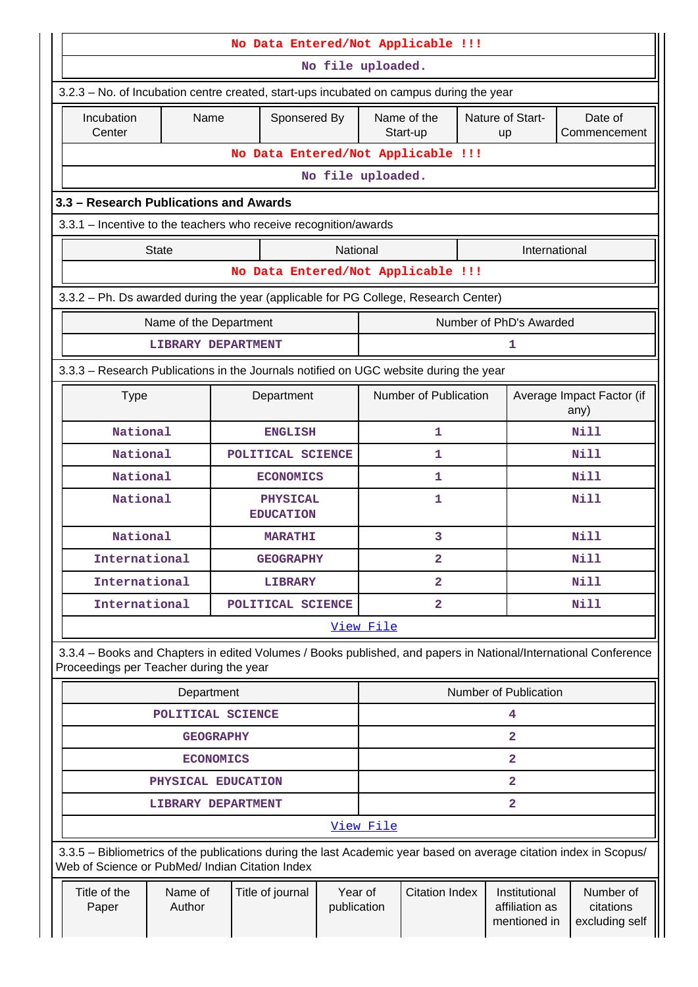| No Data Entered/Not Applicable !!!                                                    |                                         |                              |                                                                                                                                                                       |                        |                         |                         |  |                                                 |                                          |  |
|---------------------------------------------------------------------------------------|-----------------------------------------|------------------------------|-----------------------------------------------------------------------------------------------------------------------------------------------------------------------|------------------------|-------------------------|-------------------------|--|-------------------------------------------------|------------------------------------------|--|
|                                                                                       |                                         |                              |                                                                                                                                                                       |                        | No file uploaded.       |                         |  |                                                 |                                          |  |
|                                                                                       |                                         |                              | 3.2.3 – No. of Incubation centre created, start-ups incubated on campus during the year                                                                               |                        |                         |                         |  |                                                 |                                          |  |
|                                                                                       | Incubation<br>Center                    | Name                         | Sponsered By                                                                                                                                                          |                        |                         | Name of the<br>Start-up |  | Nature of Start-<br>up                          | Date of<br>Commencement                  |  |
|                                                                                       |                                         |                              | No Data Entered/Not Applicable !!!                                                                                                                                    |                        |                         |                         |  |                                                 |                                          |  |
|                                                                                       |                                         |                              |                                                                                                                                                                       |                        | No file uploaded.       |                         |  |                                                 |                                          |  |
|                                                                                       | 3.3 - Research Publications and Awards  |                              |                                                                                                                                                                       |                        |                         |                         |  |                                                 |                                          |  |
|                                                                                       |                                         |                              | 3.3.1 - Incentive to the teachers who receive recognition/awards                                                                                                      |                        |                         |                         |  |                                                 |                                          |  |
|                                                                                       |                                         | <b>State</b>                 |                                                                                                                                                                       | National               |                         |                         |  | International                                   |                                          |  |
| No Data Entered/Not Applicable !!!                                                    |                                         |                              |                                                                                                                                                                       |                        |                         |                         |  |                                                 |                                          |  |
| 3.3.2 - Ph. Ds awarded during the year (applicable for PG College, Research Center)   |                                         |                              |                                                                                                                                                                       |                        |                         |                         |  |                                                 |                                          |  |
|                                                                                       |                                         | Name of the Department       |                                                                                                                                                                       |                        |                         |                         |  | Number of PhD's Awarded                         |                                          |  |
|                                                                                       |                                         | <b>LIBRARY DEPARTMENT</b>    |                                                                                                                                                                       |                        |                         |                         |  | 1                                               |                                          |  |
| 3.3.3 - Research Publications in the Journals notified on UGC website during the year |                                         |                              |                                                                                                                                                                       |                        |                         |                         |  |                                                 |                                          |  |
|                                                                                       | <b>Type</b>                             |                              | Department                                                                                                                                                            |                        | Number of Publication   |                         |  |                                                 | Average Impact Factor (if<br>any)        |  |
|                                                                                       |                                         | National<br><b>ENGLISH</b>   |                                                                                                                                                                       |                        |                         |                         |  |                                                 | Nill                                     |  |
|                                                                                       | National                                |                              | POLITICAL SCIENCE                                                                                                                                                     |                        | 1                       |                         |  | Nill                                            |                                          |  |
|                                                                                       |                                         | National<br><b>ECONOMICS</b> |                                                                                                                                                                       |                        |                         | 1                       |  |                                                 | Nill                                     |  |
|                                                                                       | National                                |                              | <b>PHYSICAL</b><br><b>EDUCATION</b>                                                                                                                                   |                        | 1                       |                         |  | Nill                                            |                                          |  |
|                                                                                       | National                                |                              | <b>MARATHI</b>                                                                                                                                                        |                        | 3                       |                         |  |                                                 | Nill                                     |  |
|                                                                                       | International                           |                              | <b>GEOGRAPHY</b>                                                                                                                                                      |                        | $\mathbf{2}$            |                         |  |                                                 | Nill                                     |  |
|                                                                                       | International                           |                              | <b>LIBRARY</b>                                                                                                                                                        |                        |                         | $\mathbf{2}$            |  |                                                 | <b>Nill</b>                              |  |
|                                                                                       | International                           |                              | POLITICAL SCIENCE                                                                                                                                                     |                        | $\overline{\mathbf{2}}$ |                         |  | Nill                                            |                                          |  |
|                                                                                       |                                         |                              |                                                                                                                                                                       |                        | View File               |                         |  |                                                 |                                          |  |
|                                                                                       | Proceedings per Teacher during the year |                              | 3.3.4 - Books and Chapters in edited Volumes / Books published, and papers in National/International Conference                                                       |                        |                         |                         |  |                                                 |                                          |  |
|                                                                                       |                                         | Department                   |                                                                                                                                                                       |                        |                         |                         |  | Number of Publication                           |                                          |  |
|                                                                                       |                                         | POLITICAL SCIENCE            |                                                                                                                                                                       |                        |                         |                         |  | 4                                               |                                          |  |
|                                                                                       |                                         | <b>GEOGRAPHY</b>             |                                                                                                                                                                       |                        |                         |                         |  | 2                                               |                                          |  |
|                                                                                       |                                         | <b>ECONOMICS</b>             |                                                                                                                                                                       |                        |                         |                         |  | 2                                               |                                          |  |
|                                                                                       |                                         | PHYSICAL EDUCATION           |                                                                                                                                                                       |                        |                         |                         |  | $\overline{\mathbf{2}}$                         |                                          |  |
|                                                                                       |                                         | <b>LIBRARY DEPARTMENT</b>    |                                                                                                                                                                       |                        |                         |                         |  | 2                                               |                                          |  |
|                                                                                       |                                         |                              |                                                                                                                                                                       |                        | View File               |                         |  |                                                 |                                          |  |
|                                                                                       |                                         |                              | 3.3.5 - Bibliometrics of the publications during the last Academic year based on average citation index in Scopus/<br>Web of Science or PubMed/ Indian Citation Index |                        |                         |                         |  |                                                 |                                          |  |
|                                                                                       | Title of the<br>Paper                   | Name of<br>Author            | Title of journal                                                                                                                                                      | Year of<br>publication |                         | <b>Citation Index</b>   |  | Institutional<br>affiliation as<br>mentioned in | Number of<br>citations<br>excluding self |  |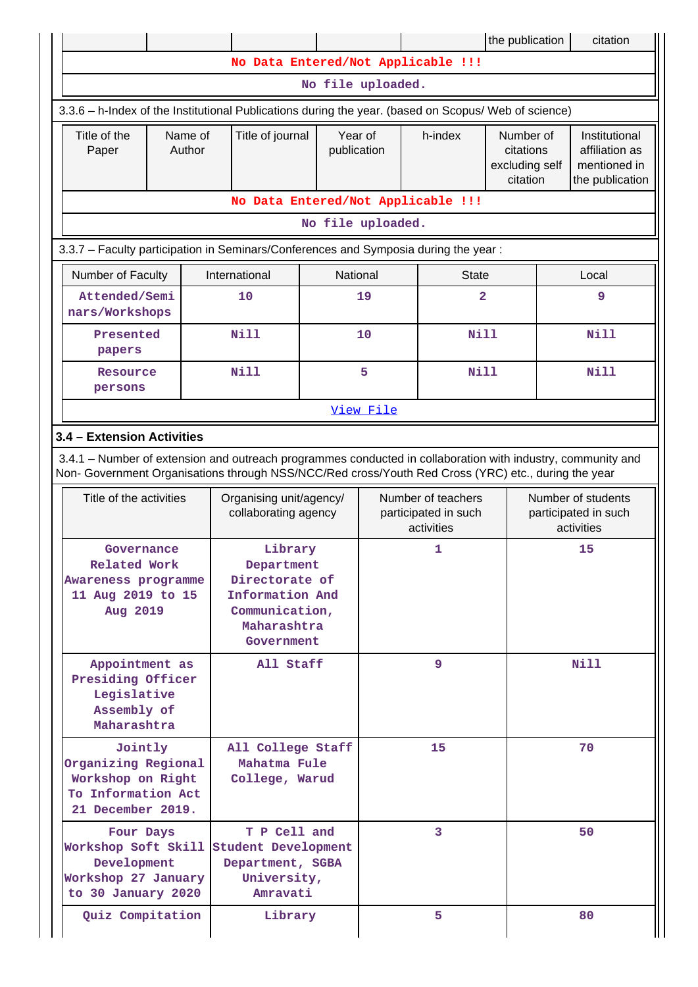|                                                                                     |                                                                                                                                                                                    |  |  |                                                                                                                                                                                                                    |                                                 |         |                                                          | the publication |                                                                    | citation    |  |
|-------------------------------------------------------------------------------------|------------------------------------------------------------------------------------------------------------------------------------------------------------------------------------|--|--|--------------------------------------------------------------------------------------------------------------------------------------------------------------------------------------------------------------------|-------------------------------------------------|---------|----------------------------------------------------------|-----------------|--------------------------------------------------------------------|-------------|--|
|                                                                                     |                                                                                                                                                                                    |  |  |                                                                                                                                                                                                                    |                                                 |         | No Data Entered/Not Applicable !!!                       |                 |                                                                    |             |  |
|                                                                                     |                                                                                                                                                                                    |  |  |                                                                                                                                                                                                                    | No file uploaded.                               |         |                                                          |                 |                                                                    |             |  |
|                                                                                     |                                                                                                                                                                                    |  |  | 3.3.6 - h-Index of the Institutional Publications during the year. (based on Scopus/ Web of science)                                                                                                               |                                                 |         |                                                          |                 |                                                                    |             |  |
|                                                                                     | Title of the<br>Title of journal<br>Name of<br>Author<br>Paper                                                                                                                     |  |  | Year of<br>publication                                                                                                                                                                                             |                                                 | h-index | Number of<br>citations<br>excluding self<br>citation     |                 | Institutional<br>affiliation as<br>mentioned in<br>the publication |             |  |
|                                                                                     |                                                                                                                                                                                    |  |  |                                                                                                                                                                                                                    |                                                 |         | No Data Entered/Not Applicable !!!                       |                 |                                                                    |             |  |
|                                                                                     |                                                                                                                                                                                    |  |  |                                                                                                                                                                                                                    | No file uploaded.                               |         |                                                          |                 |                                                                    |             |  |
| 3.3.7 - Faculty participation in Seminars/Conferences and Symposia during the year: |                                                                                                                                                                                    |  |  |                                                                                                                                                                                                                    |                                                 |         |                                                          |                 |                                                                    |             |  |
|                                                                                     | Number of Faculty                                                                                                                                                                  |  |  | International                                                                                                                                                                                                      | National                                        |         | <b>State</b>                                             |                 |                                                                    | Local       |  |
|                                                                                     | Attended/Semi<br>nars/Workshops                                                                                                                                                    |  |  | 10                                                                                                                                                                                                                 |                                                 | 19      | 2                                                        |                 |                                                                    | 9           |  |
|                                                                                     | Presented<br>papers                                                                                                                                                                |  |  | <b>Nill</b>                                                                                                                                                                                                        |                                                 | 10      | Nill                                                     |                 |                                                                    | <b>Nill</b> |  |
|                                                                                     | Resource<br>persons                                                                                                                                                                |  |  | <b>Nill</b>                                                                                                                                                                                                        |                                                 | 5       | <b>Nill</b>                                              |                 |                                                                    | <b>Nill</b> |  |
|                                                                                     |                                                                                                                                                                                    |  |  | View File                                                                                                                                                                                                          |                                                 |         |                                                          |                 |                                                                    |             |  |
|                                                                                     | 3.4 - Extension Activities                                                                                                                                                         |  |  |                                                                                                                                                                                                                    |                                                 |         |                                                          |                 |                                                                    |             |  |
|                                                                                     |                                                                                                                                                                                    |  |  | 3.4.1 - Number of extension and outreach programmes conducted in collaboration with industry, community and<br>Non- Government Organisations through NSS/NCC/Red cross/Youth Red Cross (YRC) etc., during the year |                                                 |         |                                                          |                 |                                                                    |             |  |
|                                                                                     | Title of the activities                                                                                                                                                            |  |  |                                                                                                                                                                                                                    | Organising unit/agency/<br>collaborating agency |         | Number of teachers<br>participated in such<br>activities |                 | Number of students<br>participated in such<br>activities           |             |  |
|                                                                                     | Governance<br>Related Work<br>Awareness programme<br>11 Aug 2019 to 15<br>Aug 2019                                                                                                 |  |  | Library<br>Department<br>Directorate of<br>Information And<br>Communication,<br>Maharashtra<br>Government                                                                                                          |                                                 | 1       |                                                          |                 | 15                                                                 |             |  |
|                                                                                     | Appointment as<br>Presiding Officer<br>Legislative<br>Assembly of<br>Maharashtra                                                                                                   |  |  | All Staff                                                                                                                                                                                                          |                                                 | 9       |                                                          |                 | Nill                                                               |             |  |
|                                                                                     | Jointly<br>Organizing Regional<br>Workshop on Right<br>To Information Act<br>21 December 2019.                                                                                     |  |  | All College Staff<br>Mahatma Fule<br>College, Warud                                                                                                                                                                |                                                 |         | 15                                                       |                 | 70                                                                 |             |  |
|                                                                                     | T P Cell and<br>Four Days<br>Workshop Soft Skill<br>Student Development<br>Development<br>Department, SGBA<br>Workshop 27 January<br>University,<br>to 30 January 2020<br>Amravati |  |  |                                                                                                                                                                                                                    | 3                                               |         |                                                          | 50              |                                                                    |             |  |
|                                                                                     | Quiz Compitation                                                                                                                                                                   |  |  | Library                                                                                                                                                                                                            |                                                 |         | 5                                                        |                 |                                                                    | 80          |  |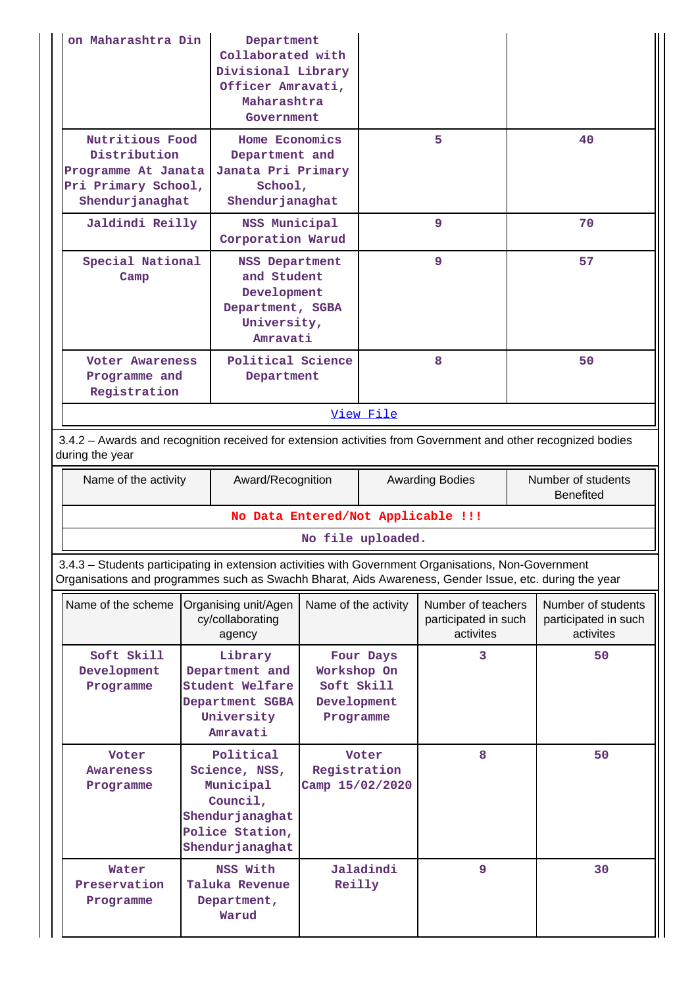| on Maharashtra Din                                                                                                                                                                                             | Department<br>Collaborated with<br>Divisional Library<br>Officer Amravati,<br>Maharashtra<br>Government      |                                                       |           |                                                         |  |                                                         |  |  |
|----------------------------------------------------------------------------------------------------------------------------------------------------------------------------------------------------------------|--------------------------------------------------------------------------------------------------------------|-------------------------------------------------------|-----------|---------------------------------------------------------|--|---------------------------------------------------------|--|--|
| Nutritious Food<br>Distribution<br>Programme At Janata<br>Pri Primary School,<br>Shendur janaghat                                                                                                              | Home Economics<br>Department and<br>Janata Pri Primary<br>School,<br>Shendurjanaghat                         |                                                       |           | 5.                                                      |  | 40                                                      |  |  |
| Jaldindi Reilly                                                                                                                                                                                                | NSS Municipal<br>Corporation Warud                                                                           |                                                       |           | 9                                                       |  | 70                                                      |  |  |
| Special National<br><b>NSS Department</b><br>and Student<br>Camp<br>Development<br>Department, SGBA<br>University,<br>Amravati                                                                                 |                                                                                                              |                                                       |           | 9                                                       |  | 57                                                      |  |  |
| <b>Voter Awareness</b><br>Programme and<br>Department<br>Registration                                                                                                                                          |                                                                                                              | Political Science                                     |           | 8                                                       |  | 50                                                      |  |  |
|                                                                                                                                                                                                                |                                                                                                              |                                                       | View File |                                                         |  |                                                         |  |  |
| 3.4.2 - Awards and recognition received for extension activities from Government and other recognized bodies<br>during the year                                                                                |                                                                                                              |                                                       |           |                                                         |  |                                                         |  |  |
| Name of the activity                                                                                                                                                                                           | Award/Recognition                                                                                            |                                                       |           | <b>Awarding Bodies</b>                                  |  | Number of students<br><b>Benefited</b>                  |  |  |
|                                                                                                                                                                                                                | No Data Entered/Not Applicable !!!                                                                           |                                                       |           |                                                         |  |                                                         |  |  |
|                                                                                                                                                                                                                |                                                                                                              | No file uploaded.                                     |           |                                                         |  |                                                         |  |  |
| 3.4.3 - Students participating in extension activities with Government Organisations, Non-Government<br>Organisations and programmes such as Swachh Bharat, Aids Awareness, Gender Issue, etc. during the year |                                                                                                              |                                                       |           |                                                         |  |                                                         |  |  |
| Name of the scheme                                                                                                                                                                                             | Organising unit/Agen<br>cy/collaborating<br>agency                                                           | Name of the activity                                  |           | Number of teachers<br>participated in such<br>activites |  | Number of students<br>participated in such<br>activites |  |  |
| Soft Skill<br>Development<br>Programme                                                                                                                                                                         | Library<br>Department and<br>Student Welfare<br>Department SGBA<br>University<br>Amravati                    | Workshop On<br>Soft Skill<br>Development<br>Programme | Four Days | 3                                                       |  | 50                                                      |  |  |
| Voter<br>Awareness<br>Programme                                                                                                                                                                                | Political<br>Science, NSS,<br>Municipal<br>Council,<br>Shendurjanaghat<br>Police Station,<br>Shendurjanaghat | Registration<br>Camp 15/02/2020                       | Voter     | 8                                                       |  | 50                                                      |  |  |
| Water<br>Preservation<br>Programme                                                                                                                                                                             | NSS With<br>Taluka Revenue<br>Department,<br>Warud                                                           | Reilly                                                | Jaladindi | 9                                                       |  | 30                                                      |  |  |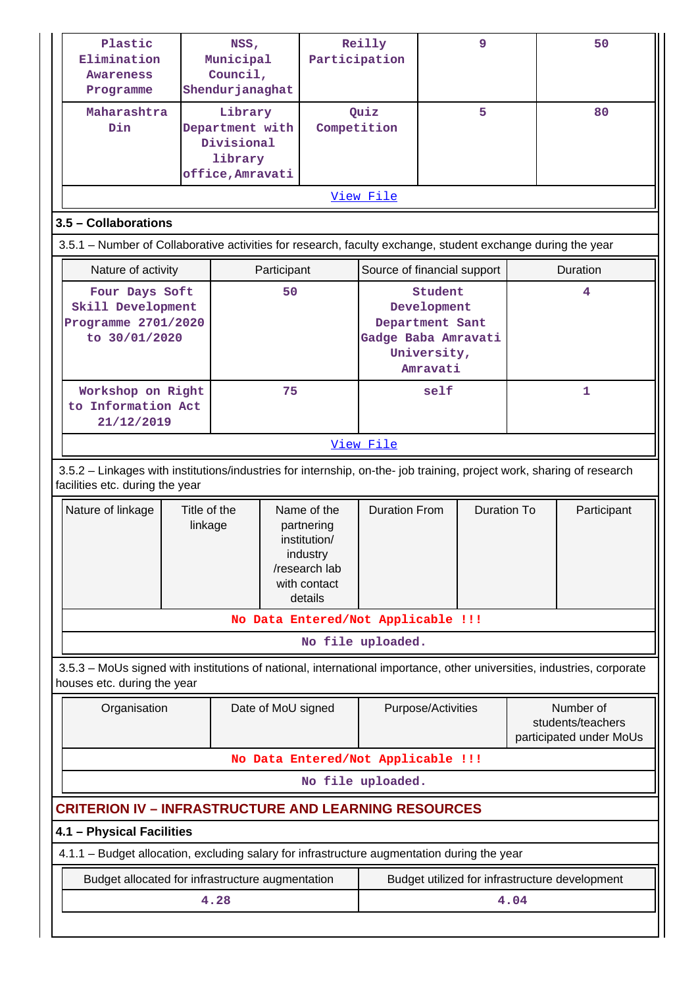| Plastic<br>NSS,<br>Elimination<br>Municipal<br>Council,<br><b>Awareness</b><br>Shendurjanaghat<br>Programme                                              |  | Reilly<br>Participation                              |                                                                                                   | 9                    |                                                                                             |                    | 50 |             |                                                           |
|----------------------------------------------------------------------------------------------------------------------------------------------------------|--|------------------------------------------------------|---------------------------------------------------------------------------------------------------|----------------------|---------------------------------------------------------------------------------------------|--------------------|----|-------------|-----------------------------------------------------------|
| Maharashtra<br>Din                                                                                                                                       |  | Library<br>Divisional<br>library<br>office, Amravati | Department with<br>Competition                                                                    |                      | Quiz                                                                                        | 5                  |    |             | 80                                                        |
|                                                                                                                                                          |  |                                                      |                                                                                                   |                      | View File                                                                                   |                    |    |             |                                                           |
|                                                                                                                                                          |  |                                                      |                                                                                                   |                      |                                                                                             |                    |    |             |                                                           |
| 3.5 - Collaborations<br>3.5.1 – Number of Collaborative activities for research, faculty exchange, student exchange during the year                      |  |                                                      |                                                                                                   |                      |                                                                                             |                    |    |             |                                                           |
|                                                                                                                                                          |  |                                                      |                                                                                                   |                      |                                                                                             |                    |    |             |                                                           |
| Nature of activity                                                                                                                                       |  |                                                      | Participant                                                                                       |                      | Source of financial support                                                                 |                    |    |             | Duration                                                  |
| Four Days Soft<br>Skill Development<br>Programme 2701/2020<br>to 30/01/2020                                                                              |  |                                                      | 50                                                                                                |                      | Student<br>Development<br>Department Sant<br>Gadge Baba Amravati<br>University,<br>Amravati |                    |    | 4           |                                                           |
| Workshop on Right<br>to Information Act<br>21/12/2019                                                                                                    |  |                                                      | 75                                                                                                |                      | self                                                                                        |                    | 1  |             |                                                           |
|                                                                                                                                                          |  |                                                      |                                                                                                   |                      | View File                                                                                   |                    |    |             |                                                           |
| 3.5.2 - Linkages with institutions/industries for internship, on-the- job training, project work, sharing of research<br>facilities etc. during the year |  |                                                      |                                                                                                   |                      |                                                                                             |                    |    |             |                                                           |
| Title of the<br>Nature of linkage<br>linkage                                                                                                             |  |                                                      | Name of the<br>partnering<br>institution/<br>industry<br>/research lab<br>with contact<br>details | <b>Duration From</b> | <b>Duration To</b>                                                                          |                    |    | Participant |                                                           |
|                                                                                                                                                          |  |                                                      |                                                                                                   |                      | No Data Entered/Not Applicable !!!                                                          |                    |    |             |                                                           |
|                                                                                                                                                          |  |                                                      |                                                                                                   |                      | No file uploaded.                                                                           |                    |    |             |                                                           |
| 3.5.3 - MoUs signed with institutions of national, international importance, other universities, industries, corporate<br>houses etc. during the year    |  |                                                      |                                                                                                   |                      |                                                                                             |                    |    |             |                                                           |
| Organisation                                                                                                                                             |  |                                                      | Date of MoU signed                                                                                |                      |                                                                                             | Purpose/Activities |    |             | Number of<br>students/teachers<br>participated under MoUs |
|                                                                                                                                                          |  |                                                      |                                                                                                   |                      | No Data Entered/Not Applicable !!!                                                          |                    |    |             |                                                           |
|                                                                                                                                                          |  |                                                      |                                                                                                   |                      | No file uploaded.                                                                           |                    |    |             |                                                           |
| <b>CRITERION IV - INFRASTRUCTURE AND LEARNING RESOURCES</b>                                                                                              |  |                                                      |                                                                                                   |                      |                                                                                             |                    |    |             |                                                           |
| 4.1 - Physical Facilities                                                                                                                                |  |                                                      |                                                                                                   |                      |                                                                                             |                    |    |             |                                                           |
| 4.1.1 – Budget allocation, excluding salary for infrastructure augmentation during the year                                                              |  |                                                      |                                                                                                   |                      |                                                                                             |                    |    |             |                                                           |
| Budget allocated for infrastructure augmentation                                                                                                         |  |                                                      |                                                                                                   |                      |                                                                                             |                    |    |             | Budget utilized for infrastructure development            |
|                                                                                                                                                          |  | 4.28                                                 |                                                                                                   |                      |                                                                                             |                    |    | 4.04        |                                                           |
|                                                                                                                                                          |  |                                                      |                                                                                                   |                      |                                                                                             |                    |    |             |                                                           |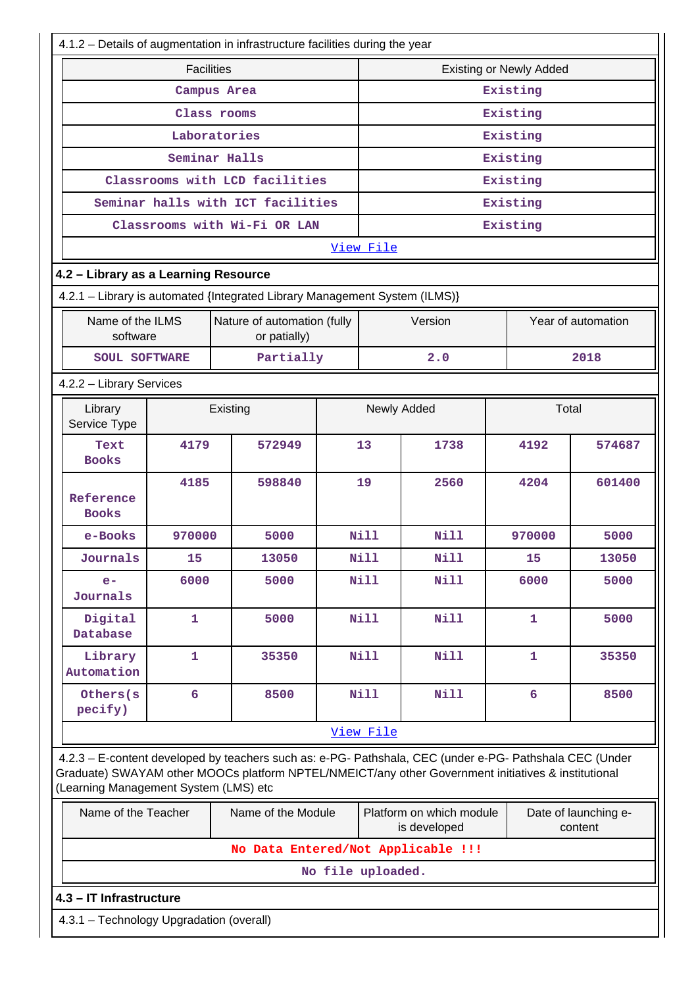| 4.1.2 - Details of augmentation in infrastructure facilities during the year                                                                                                                                                                            |                                          |                                   |        |                   |             |                                          |                                |                                 |  |  |
|---------------------------------------------------------------------------------------------------------------------------------------------------------------------------------------------------------------------------------------------------------|------------------------------------------|-----------------------------------|--------|-------------------|-------------|------------------------------------------|--------------------------------|---------------------------------|--|--|
|                                                                                                                                                                                                                                                         | <b>Facilities</b>                        |                                   |        |                   |             |                                          | <b>Existing or Newly Added</b> |                                 |  |  |
|                                                                                                                                                                                                                                                         |                                          | Campus Area                       |        |                   | Existing    |                                          |                                |                                 |  |  |
|                                                                                                                                                                                                                                                         |                                          | Class rooms                       |        |                   | Existing    |                                          |                                |                                 |  |  |
|                                                                                                                                                                                                                                                         |                                          | Laboratories                      |        |                   | Existing    |                                          |                                |                                 |  |  |
|                                                                                                                                                                                                                                                         |                                          | Seminar Halls                     |        |                   |             |                                          | Existing                       |                                 |  |  |
|                                                                                                                                                                                                                                                         |                                          | Classrooms with LCD facilities    |        |                   | Existing    |                                          |                                |                                 |  |  |
|                                                                                                                                                                                                                                                         |                                          | Seminar halls with ICT facilities |        |                   |             |                                          | Existing                       |                                 |  |  |
|                                                                                                                                                                                                                                                         |                                          | Classrooms with Wi-Fi OR LAN      |        |                   |             |                                          | Existing                       |                                 |  |  |
|                                                                                                                                                                                                                                                         |                                          |                                   |        |                   | View File   |                                          |                                |                                 |  |  |
| 4.2 - Library as a Learning Resource                                                                                                                                                                                                                    |                                          |                                   |        |                   |             |                                          |                                |                                 |  |  |
| 4.2.1 - Library is automated {Integrated Library Management System (ILMS)}                                                                                                                                                                              |                                          |                                   |        |                   |             |                                          |                                |                                 |  |  |
| Name of the ILMS<br>Nature of automation (fully<br>software<br>or patially)                                                                                                                                                                             |                                          |                                   |        |                   |             | Version                                  |                                | Year of automation              |  |  |
|                                                                                                                                                                                                                                                         | Partially<br><b>SOUL SOFTWARE</b>        |                                   |        |                   |             |                                          |                                | 2018                            |  |  |
| 4.2.2 - Library Services                                                                                                                                                                                                                                |                                          |                                   |        |                   |             |                                          |                                |                                 |  |  |
| Library<br>Service Type                                                                                                                                                                                                                                 | Existing                                 |                                   |        |                   |             | Newly Added                              |                                | Total                           |  |  |
| Text<br><b>Books</b>                                                                                                                                                                                                                                    | 4179                                     | 572949                            |        |                   | 13          | 1738                                     | 4192                           | 574687                          |  |  |
| Reference<br><b>Books</b>                                                                                                                                                                                                                               | 4185                                     |                                   | 598840 | 19                |             | 2560                                     | 4204                           | 601400                          |  |  |
| e-Books                                                                                                                                                                                                                                                 | 970000                                   |                                   | 5000   |                   | <b>Nill</b> | <b>Nill</b>                              | 970000                         | 5000                            |  |  |
| Journals                                                                                                                                                                                                                                                | 15                                       |                                   | 13050  |                   | Nill        | <b>Nill</b>                              | 15                             | 13050                           |  |  |
| $e-$<br>Journals                                                                                                                                                                                                                                        | 6000                                     |                                   | 5000   |                   | <b>Nill</b> | <b>Nill</b>                              | 6000                           | 5000                            |  |  |
| Digital<br>Database                                                                                                                                                                                                                                     | 1                                        |                                   | 5000   |                   | Nill        | Nill                                     | 1                              | 5000                            |  |  |
| Library<br>Automation                                                                                                                                                                                                                                   | 1                                        |                                   | 35350  |                   | Nill        | Nill                                     | 1                              | 35350                           |  |  |
| Others(s<br>pecify)                                                                                                                                                                                                                                     | $6\overline{6}$                          |                                   | 8500   |                   | <b>Nill</b> | Nill                                     | $6\overline{6}$                | 8500                            |  |  |
|                                                                                                                                                                                                                                                         |                                          |                                   |        |                   | View File   |                                          |                                |                                 |  |  |
| 4.2.3 - E-content developed by teachers such as: e-PG- Pathshala, CEC (under e-PG- Pathshala CEC (Under<br>Graduate) SWAYAM other MOOCs platform NPTEL/NMEICT/any other Government initiatives & institutional<br>(Learning Management System (LMS) etc |                                          |                                   |        |                   |             |                                          |                                |                                 |  |  |
| Name of the Teacher                                                                                                                                                                                                                                     |                                          | Name of the Module                |        |                   |             | Platform on which module<br>is developed |                                | Date of launching e-<br>content |  |  |
|                                                                                                                                                                                                                                                         |                                          |                                   |        |                   |             | No Data Entered/Not Applicable !!!       |                                |                                 |  |  |
|                                                                                                                                                                                                                                                         |                                          |                                   |        | No file uploaded. |             |                                          |                                |                                 |  |  |
| 4.3 - IT Infrastructure                                                                                                                                                                                                                                 |                                          |                                   |        |                   |             |                                          |                                |                                 |  |  |
|                                                                                                                                                                                                                                                         | 4.3.1 - Technology Upgradation (overall) |                                   |        |                   |             |                                          |                                |                                 |  |  |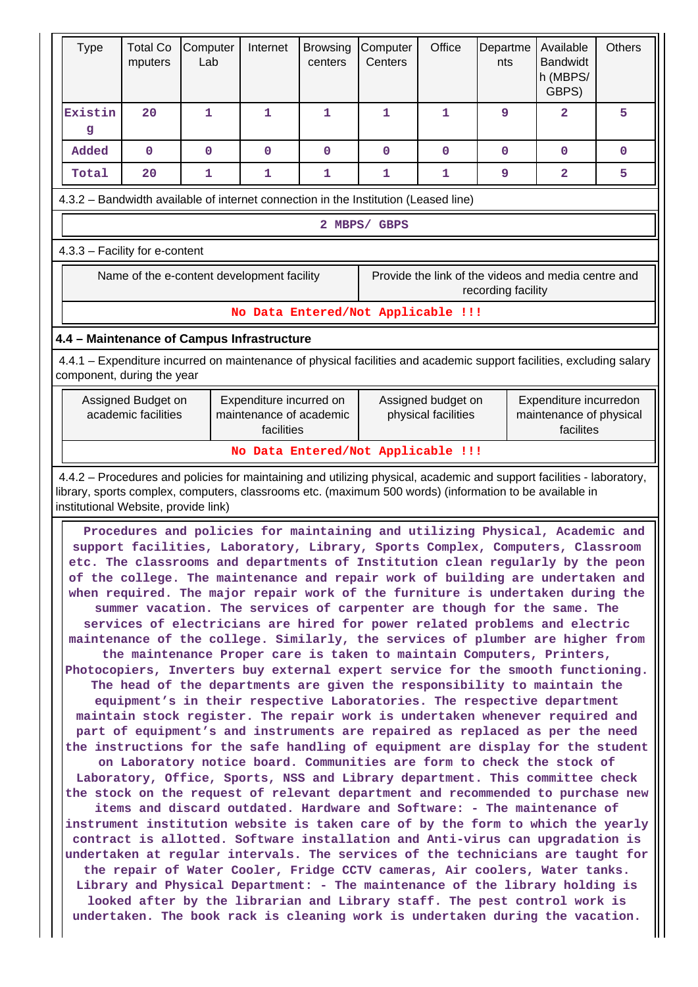| <b>Type</b>                                                                                                             | <b>Total Co</b><br>mputers                | Computer<br>Lab                    | Internet                                                         | <b>Browsing</b><br>centers | Computer<br>Centers                | Office                                    | Departme<br>nts | Available<br><b>Bandwidt</b><br>h (MBPS/<br>GBPS)                                                                                                                                       | <b>Others</b> |
|-------------------------------------------------------------------------------------------------------------------------|-------------------------------------------|------------------------------------|------------------------------------------------------------------|----------------------------|------------------------------------|-------------------------------------------|-----------------|-----------------------------------------------------------------------------------------------------------------------------------------------------------------------------------------|---------------|
| Existin<br>g                                                                                                            | 20                                        | 1                                  | 1                                                                | 1                          | 1                                  | 1                                         | 9               | $\mathbf{2}$                                                                                                                                                                            | 5             |
| bebbA                                                                                                                   | $\mathbf{O}$                              | $\mathbf 0$                        | $\mathbf{0}$                                                     | $\mathbf{O}$               | $\mathbf{0}$                       | $\mathbf{O}$                              | $\mathbf 0$     | $\mathbf{0}$                                                                                                                                                                            | $\mathbf 0$   |
| Total                                                                                                                   | 20                                        | $\mathbf{1}$                       | $\mathbf{1}$                                                     | 1                          | $\mathbf{1}$                       | $\mathbf{1}$                              | 9               | $\overline{2}$                                                                                                                                                                          | 5             |
| 4.3.2 - Bandwidth available of internet connection in the Institution (Leased line)                                     |                                           |                                    |                                                                  |                            |                                    |                                           |                 |                                                                                                                                                                                         |               |
|                                                                                                                         |                                           |                                    |                                                                  |                            | 2 MBPS/ GBPS                       |                                           |                 |                                                                                                                                                                                         |               |
| 4.3.3 - Facility for e-content                                                                                          |                                           |                                    |                                                                  |                            |                                    |                                           |                 |                                                                                                                                                                                         |               |
| Provide the link of the videos and media centre and<br>Name of the e-content development facility<br>recording facility |                                           |                                    |                                                                  |                            |                                    |                                           |                 |                                                                                                                                                                                         |               |
|                                                                                                                         |                                           |                                    |                                                                  |                            | No Data Entered/Not Applicable !!! |                                           |                 |                                                                                                                                                                                         |               |
| 4.4 - Maintenance of Campus Infrastructure                                                                              |                                           |                                    |                                                                  |                            |                                    |                                           |                 |                                                                                                                                                                                         |               |
| component, during the year                                                                                              |                                           |                                    |                                                                  |                            |                                    |                                           |                 | 4.4.1 – Expenditure incurred on maintenance of physical facilities and academic support facilities, excluding salary                                                                    |               |
|                                                                                                                         | Assigned Budget on<br>academic facilities |                                    | Expenditure incurred on<br>maintenance of academic<br>facilities |                            |                                    | Assigned budget on<br>physical facilities |                 | Expenditure incurredon<br>maintenance of physical<br>facilites                                                                                                                          |               |
|                                                                                                                         |                                           | No Data Entered/Not Applicable !!! |                                                                  |                            |                                    |                                           |                 |                                                                                                                                                                                         |               |
|                                                                                                                         |                                           |                                    |                                                                  |                            |                                    |                                           |                 | 4.4.2 - Procedures and policies for maintaining and utilizing physical, academic and support facilities - laboratory,                                                                   |               |
| institutional Website, provide link)                                                                                    |                                           |                                    |                                                                  |                            |                                    |                                           |                 | library, sports complex, computers, classrooms etc. (maximum 500 words) (information to be available in<br>Procedures and policies for maintaining and utilizing Physical, Academic and |               |
|                                                                                                                         |                                           |                                    |                                                                  |                            |                                    |                                           |                 | support facilities, Laboratory, Library, Sports Complex, Computers, Classroom<br>etc. The classrooms and departments of Institution clean regularly by the peon                         |               |
|                                                                                                                         |                                           |                                    |                                                                  |                            |                                    |                                           |                 | of the college. The maintenance and repair work of building are undertaken and                                                                                                          |               |
|                                                                                                                         |                                           |                                    |                                                                  |                            |                                    |                                           |                 | when required. The major repair work of the furniture is undertaken during the                                                                                                          |               |
|                                                                                                                         |                                           |                                    |                                                                  |                            |                                    |                                           |                 | summer vacation. The services of carpenter are though for the same. The<br>services of electricians are hired for power related problems and electric                                   |               |
|                                                                                                                         |                                           |                                    |                                                                  |                            |                                    |                                           |                 | maintenance of the college. Similarly, the services of plumber are higher from                                                                                                          |               |
|                                                                                                                         |                                           |                                    |                                                                  |                            |                                    |                                           |                 | the maintenance Proper care is taken to maintain Computers, Printers,<br>Photocopiers, Inverters buy external expert service for the smooth functioning.                                |               |
|                                                                                                                         |                                           |                                    |                                                                  |                            |                                    |                                           |                 | The head of the departments are given the responsibility to maintain the                                                                                                                |               |
|                                                                                                                         |                                           |                                    |                                                                  |                            |                                    |                                           |                 | equipment's in their respective Laboratories. The respective department                                                                                                                 |               |
|                                                                                                                         |                                           |                                    |                                                                  |                            |                                    |                                           |                 | maintain stock register. The repair work is undertaken whenever required and<br>part of equipment's and instruments are repaired as replaced as per the need                            |               |
|                                                                                                                         |                                           |                                    |                                                                  |                            |                                    |                                           |                 | the instructions for the safe handling of equipment are display for the student                                                                                                         |               |
|                                                                                                                         |                                           |                                    |                                                                  |                            |                                    |                                           |                 | on Laboratory notice board. Communities are form to check the stock of                                                                                                                  |               |
|                                                                                                                         |                                           |                                    |                                                                  |                            |                                    |                                           |                 | Laboratory, Office, Sports, NSS and Library department. This committee check<br>the stock on the request of relevant department and recommended to purchase new                         |               |
|                                                                                                                         |                                           |                                    |                                                                  |                            |                                    |                                           |                 | items and discard outdated. Hardware and Software: - The maintenance of                                                                                                                 |               |
|                                                                                                                         |                                           |                                    |                                                                  |                            |                                    |                                           |                 | instrument institution website is taken care of by the form to which the yearly                                                                                                         |               |
|                                                                                                                         |                                           |                                    |                                                                  |                            |                                    |                                           |                 | contract is allotted. Software installation and Anti-virus can upgradation is<br>undertaken at regular intervals. The services of the technicians are taught for                        |               |
|                                                                                                                         |                                           |                                    |                                                                  |                            |                                    |                                           |                 | the repair of Water Cooler, Fridge CCTV cameras, Air coolers, Water tanks.                                                                                                              |               |
|                                                                                                                         |                                           |                                    |                                                                  |                            |                                    |                                           |                 | Library and Physical Department: - The maintenance of the library holding is<br>looked after by the librarian and Library staff. The pest control work is                               |               |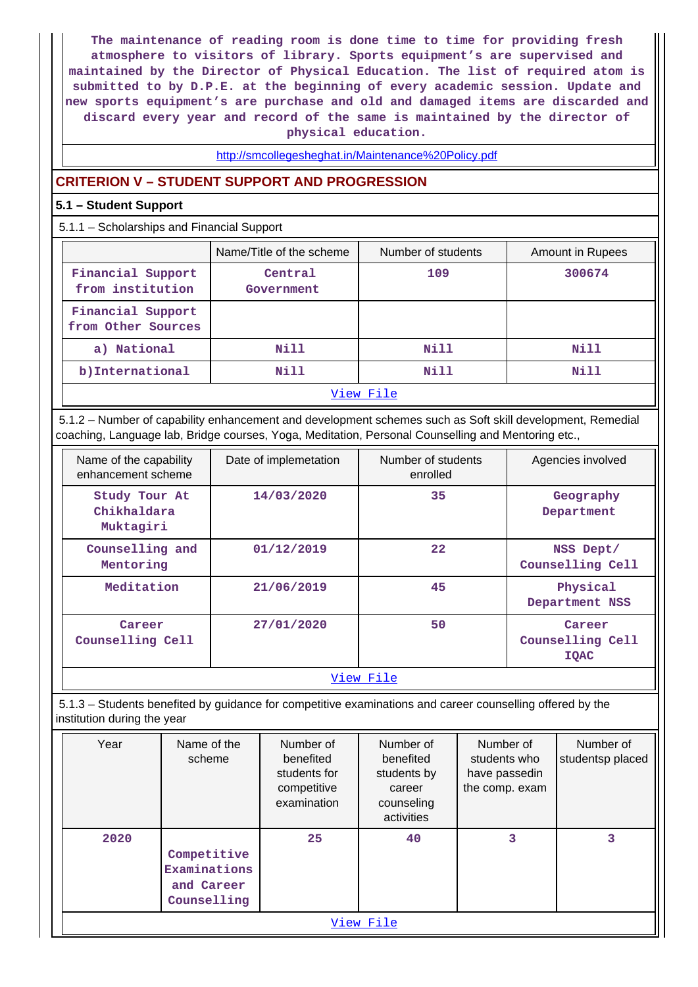**The maintenance of reading room is done time to time for providing fresh atmosphere to visitors of library. Sports equipment's are supervised and maintained by the Director of Physical Education. The list of required atom is submitted to by D.P.E. at the beginning of every academic session. Update and new sports equipment's are purchase and old and damaged items are discarded and discard every year and record of the same is maintained by the director of physical education.**

### <http://smcollegesheghat.in/Maintenance%20Policy.pdf>

### **CRITERION V – STUDENT SUPPORT AND PROGRESSION**

#### **5.1 – Student Support**

5.1.1 – Scholarships and Financial Support

|                                         | Name/Title of the scheme | Number of students | Amount in Rupees |  |  |  |
|-----------------------------------------|--------------------------|--------------------|------------------|--|--|--|
| Financial Support<br>from institution   | Central<br>Government    | 109                | 300674           |  |  |  |
| Financial Support<br>from Other Sources |                          |                    |                  |  |  |  |
| a) National                             | Nill                     | Nill               | Nill             |  |  |  |
| b) International                        | Nill                     | Nill               | Nill             |  |  |  |
| View File                               |                          |                    |                  |  |  |  |

 5.1.2 – Number of capability enhancement and development schemes such as Soft skill development, Remedial coaching, Language lab, Bridge courses, Yoga, Meditation, Personal Counselling and Mentoring etc.,

| Name of the capability<br>enhancement scheme | Date of implemetation | Number of students<br>enrolled | Agencies involved                         |  |  |  |  |
|----------------------------------------------|-----------------------|--------------------------------|-------------------------------------------|--|--|--|--|
| Study Tour At<br>Chikhaldara<br>Muktagiri    | 14/03/2020            | 35                             | Geography<br>Department                   |  |  |  |  |
| Counselling and<br>Mentoring                 | 01/12/2019            | 22                             | NSS Dept/<br>Counselling Cell             |  |  |  |  |
| Meditation                                   | 21/06/2019            | 45                             | Physical<br>Department NSS                |  |  |  |  |
| Career<br>Counselling Cell                   | 27/01/2020            | 50                             | Career<br>Counselling Cell<br><b>IQAC</b> |  |  |  |  |
| View File                                    |                       |                                |                                           |  |  |  |  |

 5.1.3 – Students benefited by guidance for competitive examinations and career counselling offered by the institution during the year

| Year | Name of the<br>scheme                                    | Number of<br>benefited<br>students for<br>competitive<br>examination | Number of<br>benefited<br>students by<br>career<br>counseling<br>activities | Number of<br>students who<br>have passedin<br>the comp. exam | Number of<br>studentsp placed |  |  |  |
|------|----------------------------------------------------------|----------------------------------------------------------------------|-----------------------------------------------------------------------------|--------------------------------------------------------------|-------------------------------|--|--|--|
| 2020 | Competitive<br>Examinations<br>and Career<br>Counselling | 25                                                                   | 40                                                                          | 3                                                            | 3                             |  |  |  |
|      | View File                                                |                                                                      |                                                                             |                                                              |                               |  |  |  |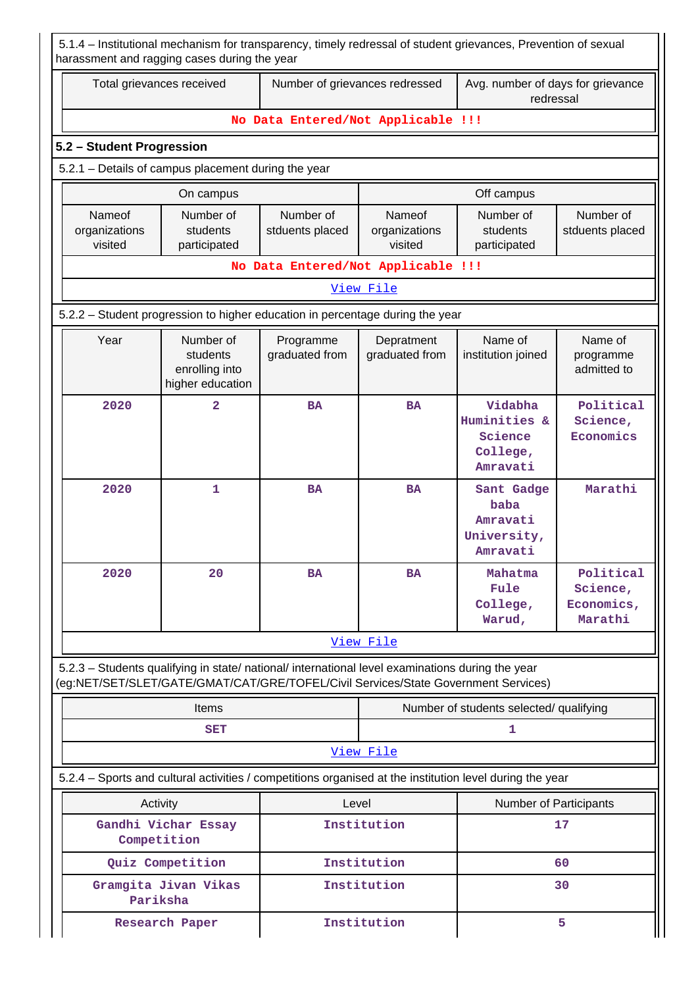| 5.1.4 – Institutional mechanism for transparency, timely redressal of student grievances, Prevention of sexual<br>harassment and ragging cases during the year                         |                                                             |                                    |                                    |                                                            |                                                |  |
|----------------------------------------------------------------------------------------------------------------------------------------------------------------------------------------|-------------------------------------------------------------|------------------------------------|------------------------------------|------------------------------------------------------------|------------------------------------------------|--|
|                                                                                                                                                                                        | Total grievances received                                   | Number of grievances redressed     |                                    | Avg. number of days for grievance<br>redressal             |                                                |  |
|                                                                                                                                                                                        |                                                             | No Data Entered/Not Applicable !!! |                                    |                                                            |                                                |  |
| 5.2 - Student Progression                                                                                                                                                              |                                                             |                                    |                                    |                                                            |                                                |  |
| 5.2.1 - Details of campus placement during the year                                                                                                                                    |                                                             |                                    |                                    |                                                            |                                                |  |
|                                                                                                                                                                                        | On campus                                                   |                                    |                                    | Off campus                                                 |                                                |  |
| Nameof<br>organizations<br>visited                                                                                                                                                     | Number of<br>students<br>participated                       | Number of<br>stduents placed       | Nameof<br>organizations<br>visited | Number of<br>students<br>participated                      | Number of<br>stduents placed                   |  |
|                                                                                                                                                                                        |                                                             | No Data Entered/Not Applicable !!! |                                    |                                                            |                                                |  |
|                                                                                                                                                                                        |                                                             |                                    | View File                          |                                                            |                                                |  |
| 5.2.2 - Student progression to higher education in percentage during the year                                                                                                          |                                                             |                                    |                                    |                                                            |                                                |  |
| Year                                                                                                                                                                                   | Number of<br>students<br>enrolling into<br>higher education | Programme<br>graduated from        | Depratment<br>graduated from       | Name of<br>institution joined                              | Name of<br>programme<br>admitted to            |  |
| 2020                                                                                                                                                                                   | $\overline{a}$                                              | <b>BA</b>                          | <b>BA</b>                          | Vidabha<br>Huminities &<br>Science<br>College,<br>Amravati | Political<br>Science,<br>Economics             |  |
| 2020                                                                                                                                                                                   | $\mathbf{1}$                                                | <b>BA</b>                          | <b>BA</b>                          | Sant Gadge<br>baba<br>Amravati<br>University,<br>Amravati  | Marathi                                        |  |
| 2020                                                                                                                                                                                   | 20                                                          | <b>BA</b>                          | <b>BA</b>                          | Mahatma<br>Fule<br>College,<br>Warud,                      | Political<br>Science,<br>Economics,<br>Marathi |  |
|                                                                                                                                                                                        |                                                             |                                    | View File                          |                                                            |                                                |  |
| 5.2.3 - Students qualifying in state/ national/ international level examinations during the year<br>(eg:NET/SET/SLET/GATE/GMAT/CAT/GRE/TOFEL/Civil Services/State Government Services) |                                                             |                                    |                                    |                                                            |                                                |  |
|                                                                                                                                                                                        | <b>Items</b>                                                |                                    |                                    | Number of students selected/ qualifying                    |                                                |  |
|                                                                                                                                                                                        | <b>SET</b>                                                  |                                    |                                    | 1                                                          |                                                |  |
|                                                                                                                                                                                        |                                                             |                                    | View File                          |                                                            |                                                |  |
| 5.2.4 - Sports and cultural activities / competitions organised at the institution level during the year                                                                               |                                                             |                                    |                                    |                                                            |                                                |  |
| Activity                                                                                                                                                                               |                                                             | Level                              |                                    | Number of Participants                                     |                                                |  |
|                                                                                                                                                                                        | Gandhi Vichar Essay<br>Competition                          |                                    | Institution                        |                                                            | 17                                             |  |
|                                                                                                                                                                                        | Quiz Competition                                            |                                    | Institution                        |                                                            | 60                                             |  |
|                                                                                                                                                                                        | Gramgita Jivan Vikas<br>Pariksha                            |                                    | Institution                        |                                                            | 30                                             |  |
| <b>Research Paper</b>                                                                                                                                                                  |                                                             |                                    | Institution                        |                                                            | 5                                              |  |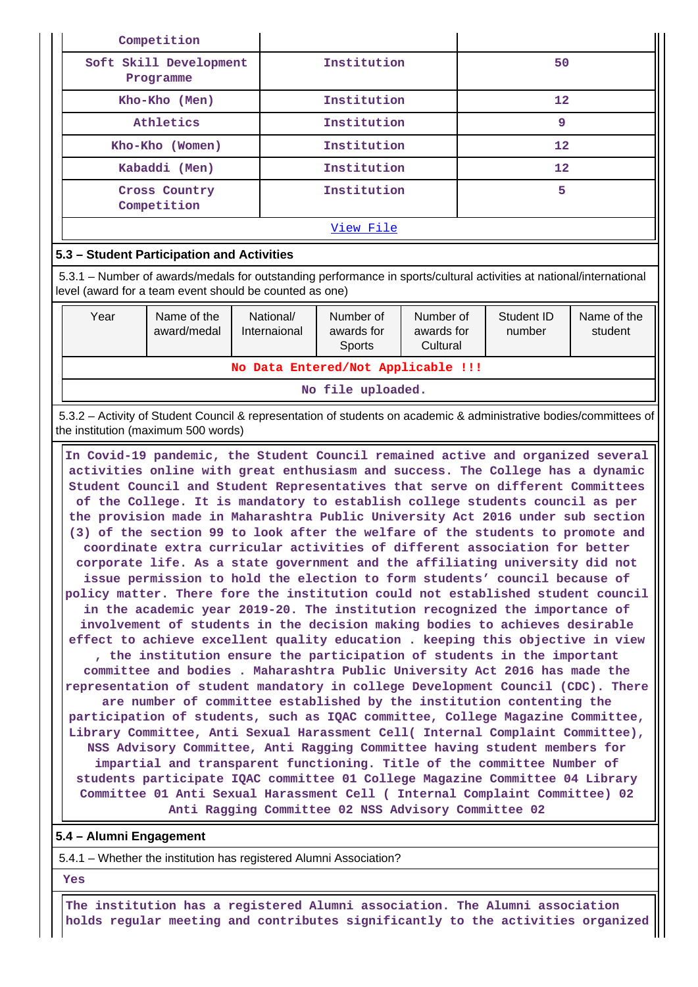| Competition                         |             |    |
|-------------------------------------|-------------|----|
| Soft Skill Development<br>Programme | Institution | 50 |
| Kho-Kho (Men)                       | Institution | 12 |
| Athletics                           | Institution | 9  |
| Kho-Kho (Women)                     | Institution | 12 |
| Kabaddi (Men)                       | Institution | 12 |
| Cross Country<br>Competition        | Institution | 5  |
|                                     | View File   |    |

### **5.3 – Student Participation and Activities**

 5.3.1 – Number of awards/medals for outstanding performance in sports/cultural activities at national/international level (award for a team event should be counted as one)

| Year                               | Name of the<br>award/medal | National/<br>Internaional | Number of<br>awards for<br>Sports | Number of<br>awards for<br>Cultural | Student ID<br>number | Name of the<br>student |  |
|------------------------------------|----------------------------|---------------------------|-----------------------------------|-------------------------------------|----------------------|------------------------|--|
| No Data Entered/Not Applicable !!! |                            |                           |                                   |                                     |                      |                        |  |
| No file uploaded.                  |                            |                           |                                   |                                     |                      |                        |  |

 5.3.2 – Activity of Student Council & representation of students on academic & administrative bodies/committees of the institution (maximum 500 words)

 **In Covid-19 pandemic, the Student Council remained active and organized several activities online with great enthusiasm and success. The College has a dynamic Student Council and Student Representatives that serve on different Committees of the College. It is mandatory to establish college students council as per the provision made in Maharashtra Public University Act 2016 under sub section (3) of the section 99 to look after the welfare of the students to promote and coordinate extra curricular activities of different association for better corporate life. As a state government and the affiliating university did not issue permission to hold the election to form students' council because of policy matter. There fore the institution could not established student council in the academic year 2019-20. The institution recognized the importance of involvement of students in the decision making bodies to achieves desirable effect to achieve excellent quality education . keeping this objective in view , the institution ensure the participation of students in the important committee and bodies . Maharashtra Public University Act 2016 has made the representation of student mandatory in college Development Council (CDC). There are number of committee established by the institution contenting the participation of students, such as IQAC committee, College Magazine Committee, Library Committee, Anti Sexual Harassment Cell( Internal Complaint Committee), NSS Advisory Committee, Anti Ragging Committee having student members for impartial and transparent functioning. Title of the committee Number of students participate IQAC committee 01 College Magazine Committee 04 Library Committee 01 Anti Sexual Harassment Cell ( Internal Complaint Committee) 02 Anti Ragging Committee 02 NSS Advisory Committee 02**

### **5.4 – Alumni Engagement**

5.4.1 – Whether the institution has registered Alumni Association?

 **Yes**

 **The institution has a registered Alumni association. The Alumni association holds regular meeting and contributes significantly to the activities organized**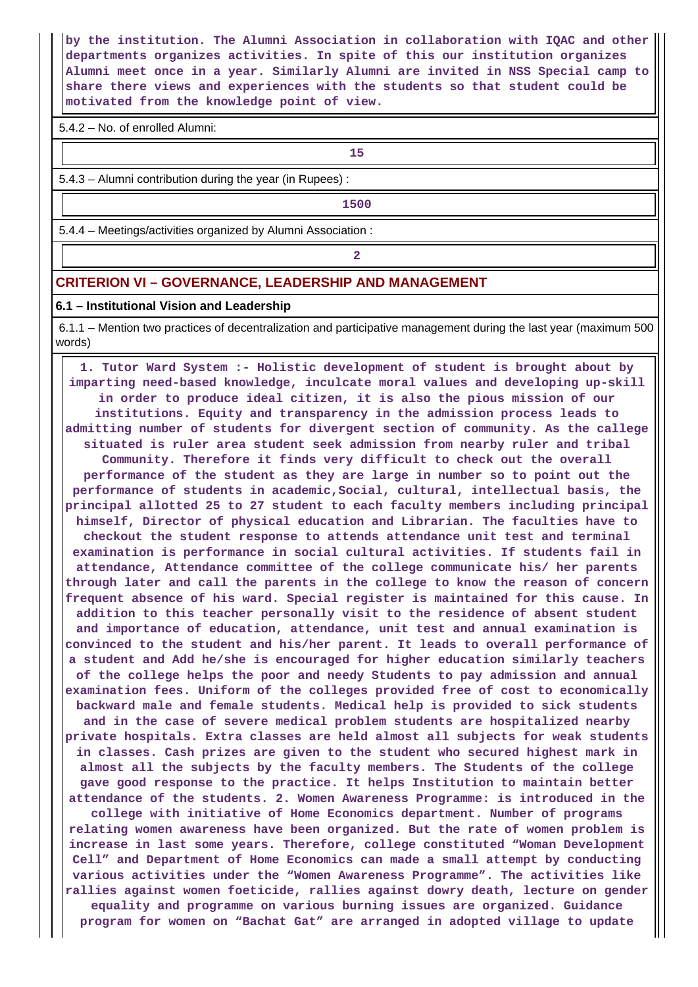**by the institution. The Alumni Association in collaboration with IQAC and other departments organizes activities. In spite of this our institution organizes Alumni meet once in a year. Similarly Alumni are invited in NSS Special camp to share there views and experiences with the students so that student could be motivated from the knowledge point of view.**

5.4.2 – No. of enrolled Alumni:

**15** 

5.4.3 – Alumni contribution during the year (in Rupees) :

**1500**

5.4.4 – Meetings/activities organized by Alumni Association :

**2**

#### **CRITERION VI – GOVERNANCE, LEADERSHIP AND MANAGEMENT**

#### **6.1 – Institutional Vision and Leadership**

 6.1.1 – Mention two practices of decentralization and participative management during the last year (maximum 500 words)

 **1. Tutor Ward System :- Holistic development of student is brought about by imparting need-based knowledge, inculcate moral values and developing up-skill in order to produce ideal citizen, it is also the pious mission of our institutions. Equity and transparency in the admission process leads to admitting number of students for divergent section of community. As the callege situated is ruler area student seek admission from nearby ruler and tribal Community. Therefore it finds very difficult to check out the overall performance of the student as they are large in number so to point out the performance of students in academic,Social, cultural, intellectual basis, the principal allotted 25 to 27 student to each faculty members including principal himself, Director of physical education and Librarian. The faculties have to checkout the student response to attends attendance unit test and terminal examination is performance in social cultural activities. If students fail in attendance, Attendance committee of the college communicate his/ her parents through later and call the parents in the college to know the reason of concern frequent absence of his ward. Special register is maintained for this cause. In addition to this teacher personally visit to the residence of absent student and importance of education, attendance, unit test and annual examination is convinced to the student and his/her parent. It leads to overall performance of a student and Add he/she is encouraged for higher education similarly teachers of the college helps the poor and needy Students to pay admission and annual examination fees. Uniform of the colleges provided free of cost to economically backward male and female students. Medical help is provided to sick students and in the case of severe medical problem students are hospitalized nearby private hospitals. Extra classes are held almost all subjects for weak students in classes. Cash prizes are given to the student who secured highest mark in almost all the subjects by the faculty members. The Students of the college gave good response to the practice. It helps Institution to maintain better attendance of the students. 2. Women Awareness Programme: is introduced in the college with initiative of Home Economics department. Number of programs relating women awareness have been organized. But the rate of women problem is increase in last some years. Therefore, college constituted "Woman Development Cell" and Department of Home Economics can made a small attempt by conducting various activities under the "Women Awareness Programme". The activities like rallies against women foeticide, rallies against dowry death, lecture on gender equality and programme on various burning issues are organized. Guidance program for women on "Bachat Gat" are arranged in adopted village to update**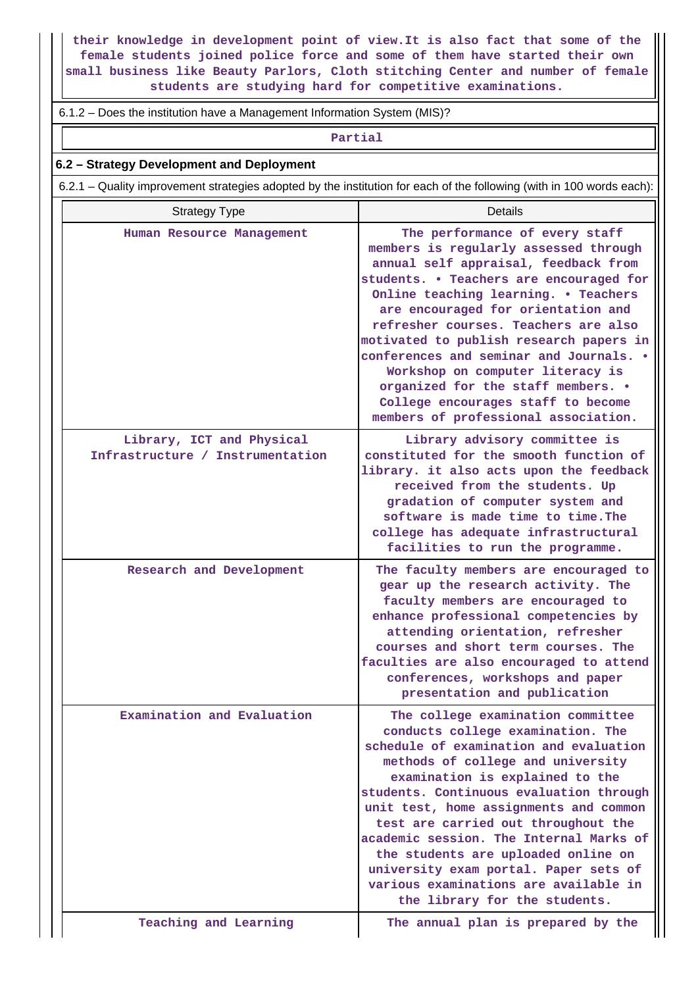**their knowledge in development point of view.It is also fact that some of the female students joined police force and some of them have started their own small business like Beauty Parlors, Cloth stitching Center and number of female students are studying hard for competitive examinations.**

#### 6.1.2 – Does the institution have a Management Information System (MIS)?

#### **Partial**

#### **6.2 – Strategy Development and Deployment**

6.2.1 – Quality improvement strategies adopted by the institution for each of the following (with in 100 words each):

| <b>Strategy Type</b>                                          | <b>Details</b>                                                                                                                                                                                                                                                                                                                                                                                                                                                                                                                 |
|---------------------------------------------------------------|--------------------------------------------------------------------------------------------------------------------------------------------------------------------------------------------------------------------------------------------------------------------------------------------------------------------------------------------------------------------------------------------------------------------------------------------------------------------------------------------------------------------------------|
| Human Resource Management                                     | The performance of every staff<br>members is regularly assessed through<br>annual self appraisal, feedback from<br>students. . Teachers are encouraged for<br>Online teaching learning. . Teachers<br>are encouraged for orientation and<br>refresher courses. Teachers are also<br>motivated to publish research papers in<br>conferences and seminar and Journals. .<br>Workshop on computer literacy is<br>organized for the staff members. .<br>College encourages staff to become<br>members of professional association. |
| Library, ICT and Physical<br>Infrastructure / Instrumentation | Library advisory committee is<br>constituted for the smooth function of<br>library. it also acts upon the feedback<br>received from the students. Up<br>gradation of computer system and<br>software is made time to time. The<br>college has adequate infrastructural<br>facilities to run the programme.                                                                                                                                                                                                                     |
| Research and Development                                      | The faculty members are encouraged to<br>gear up the research activity. The<br>faculty members are encouraged to<br>enhance professional competencies by<br>attending orientation, refresher<br>courses and short term courses. The<br>faculties are also encouraged to attend<br>conferences, workshops and paper<br>presentation and publication                                                                                                                                                                             |
| Examination and Evaluation                                    | The college examination committee<br>conducts college examination. The<br>schedule of examination and evaluation<br>methods of college and university<br>examination is explained to the<br>students. Continuous evaluation through<br>unit test, home assignments and common<br>test are carried out throughout the<br>academic session. The Internal Marks of<br>the students are uploaded online on<br>university exam portal. Paper sets of<br>various examinations are available in<br>the library for the students.      |
| Teaching and Learning                                         | The annual plan is prepared by the                                                                                                                                                                                                                                                                                                                                                                                                                                                                                             |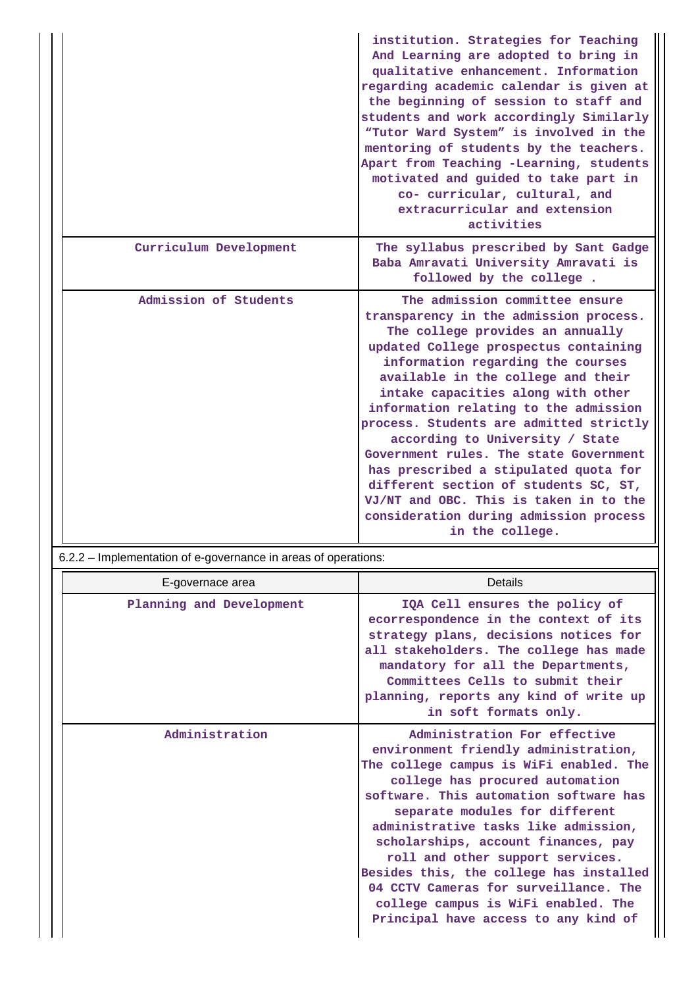|                        | institution. Strategies for Teaching<br>And Learning are adopted to bring in<br>qualitative enhancement. Information<br>regarding academic calendar is given at<br>the beginning of session to staff and<br>students and work accordingly Similarly<br>"Tutor Ward System" is involved in the<br>mentoring of students by the teachers.<br>Apart from Teaching -Learning, students<br>motivated and guided to take part in<br>co- curricular, cultural, and<br>extracurricular and extension<br>activities                                                                                                                       |
|------------------------|----------------------------------------------------------------------------------------------------------------------------------------------------------------------------------------------------------------------------------------------------------------------------------------------------------------------------------------------------------------------------------------------------------------------------------------------------------------------------------------------------------------------------------------------------------------------------------------------------------------------------------|
| Curriculum Development | The syllabus prescribed by Sant Gadge<br>Baba Amravati University Amravati is<br>followed by the college.                                                                                                                                                                                                                                                                                                                                                                                                                                                                                                                        |
| Admission of Students  | The admission committee ensure<br>transparency in the admission process.<br>The college provides an annually<br>updated College prospectus containing<br>information regarding the courses<br>available in the college and their<br>intake capacities along with other<br>information relating to the admission<br>process. Students are admitted strictly<br>according to University / State<br>Government rules. The state Government<br>has prescribed a stipulated quota for<br>different section of students SC, ST,<br>VJ/NT and OBC. This is taken in to the<br>consideration during admission process<br>in the college. |

6.2.2 – Implementation of e-governance in areas of operations:

| E-governace area         | Details                                                                                                                                                                                                                                                                                                                                                                                                                                                                                                              |
|--------------------------|----------------------------------------------------------------------------------------------------------------------------------------------------------------------------------------------------------------------------------------------------------------------------------------------------------------------------------------------------------------------------------------------------------------------------------------------------------------------------------------------------------------------|
| Planning and Development | IQA Cell ensures the policy of<br>ecorrespondence in the context of its<br>strategy plans, decisions notices for<br>all stakeholders. The college has made<br>mandatory for all the Departments,<br>Committees Cells to submit their<br>planning, reports any kind of write up<br>in soft formats only.                                                                                                                                                                                                              |
| Administration           | Administration For effective<br>environment friendly administration,<br>The college campus is WiFi enabled. The<br>college has procured automation<br>software. This automation software has<br>separate modules for different<br>administrative tasks like admission,<br>scholarships, account finances, pay<br>roll and other support services.<br>Besides this, the college has installed<br>04 CCTV Cameras for surveillance. The<br>college campus is WiFi enabled. The<br>Principal have access to any kind of |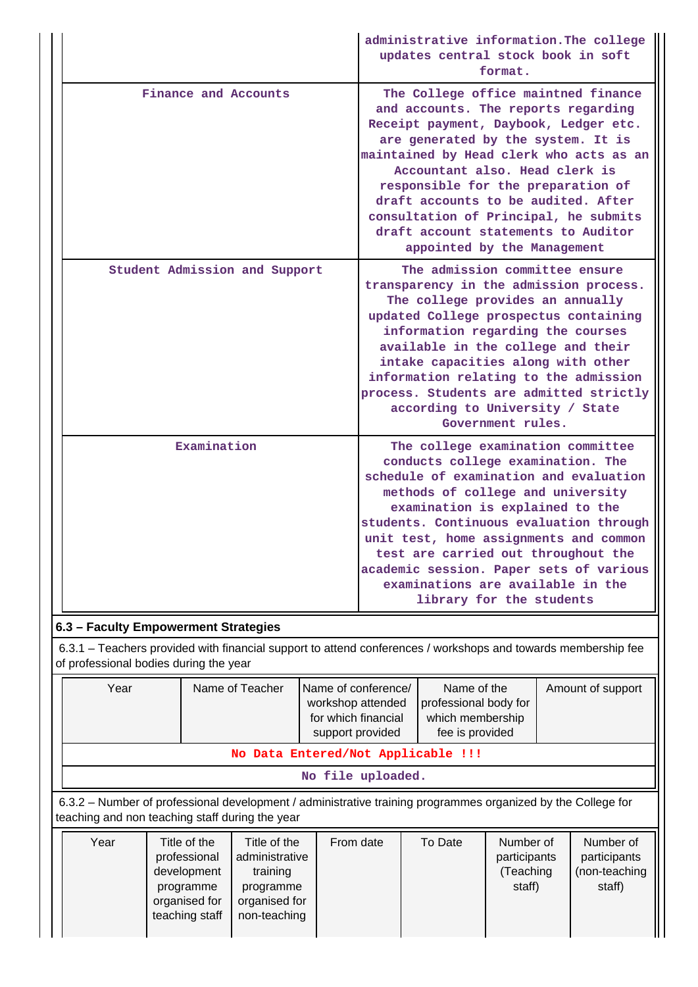|  |                                                                      |                                                                                                               |                                                                                                                                                                                                                                                                                                                                                                                                                                                                                                                                                                                                                                                                                                                                                                                                                                                                                                                                                                                                                                                                                                                                                                                                                                                                                              |                   | administrative information. The college<br>updates central stock book in soft<br>format. |                   |
|--|----------------------------------------------------------------------|---------------------------------------------------------------------------------------------------------------|----------------------------------------------------------------------------------------------------------------------------------------------------------------------------------------------------------------------------------------------------------------------------------------------------------------------------------------------------------------------------------------------------------------------------------------------------------------------------------------------------------------------------------------------------------------------------------------------------------------------------------------------------------------------------------------------------------------------------------------------------------------------------------------------------------------------------------------------------------------------------------------------------------------------------------------------------------------------------------------------------------------------------------------------------------------------------------------------------------------------------------------------------------------------------------------------------------------------------------------------------------------------------------------------|-------------------|------------------------------------------------------------------------------------------|-------------------|
|  | Finance and Accounts<br>Student Admission and Support<br>Examination |                                                                                                               | The College office maintned finance<br>and accounts. The reports regarding<br>Receipt payment, Daybook, Ledger etc.<br>are generated by the system. It is<br>maintained by Head clerk who acts as an<br>Accountant also. Head clerk is<br>responsible for the preparation of<br>draft accounts to be audited. After<br>consultation of Principal, he submits<br>draft account statements to Auditor<br>appointed by the Management<br>The admission committee ensure<br>transparency in the admission process.<br>The college provides an annually<br>updated College prospectus containing<br>information regarding the courses<br>available in the college and their<br>intake capacities along with other<br>information relating to the admission<br>process. Students are admitted strictly<br>according to University / State<br>Government rules.<br>The college examination committee<br>conducts college examination. The<br>schedule of examination and evaluation<br>methods of college and university<br>examination is explained to the<br>students. Continuous evaluation through<br>unit test, home assignments and common<br>test are carried out throughout the<br>academic session. Paper sets of various<br>examinations are available in the<br>library for the students |                   |                                                                                          |                   |
|  |                                                                      |                                                                                                               |                                                                                                                                                                                                                                                                                                                                                                                                                                                                                                                                                                                                                                                                                                                                                                                                                                                                                                                                                                                                                                                                                                                                                                                                                                                                                              |                   |                                                                                          |                   |
|  |                                                                      |                                                                                                               |                                                                                                                                                                                                                                                                                                                                                                                                                                                                                                                                                                                                                                                                                                                                                                                                                                                                                                                                                                                                                                                                                                                                                                                                                                                                                              |                   |                                                                                          |                   |
|  | 6.3 - Faculty Empowerment Strategies                                 |                                                                                                               |                                                                                                                                                                                                                                                                                                                                                                                                                                                                                                                                                                                                                                                                                                                                                                                                                                                                                                                                                                                                                                                                                                                                                                                                                                                                                              |                   |                                                                                          |                   |
|  | of professional bodies during the year                               | 6.3.1 – Teachers provided with financial support to attend conferences / workshops and towards membership fee |                                                                                                                                                                                                                                                                                                                                                                                                                                                                                                                                                                                                                                                                                                                                                                                                                                                                                                                                                                                                                                                                                                                                                                                                                                                                                              |                   |                                                                                          |                   |
|  | Year                                                                 | Name of Teacher                                                                                               | Name of conference/<br>workshop attended<br>for which financial<br>support provided                                                                                                                                                                                                                                                                                                                                                                                                                                                                                                                                                                                                                                                                                                                                                                                                                                                                                                                                                                                                                                                                                                                                                                                                          |                   | Name of the<br>professional body for<br>which membership<br>fee is provided              | Amount of support |
|  |                                                                      | No Data Entered/Not Applicable !!!                                                                            |                                                                                                                                                                                                                                                                                                                                                                                                                                                                                                                                                                                                                                                                                                                                                                                                                                                                                                                                                                                                                                                                                                                                                                                                                                                                                              |                   |                                                                                          |                   |
|  |                                                                      |                                                                                                               |                                                                                                                                                                                                                                                                                                                                                                                                                                                                                                                                                                                                                                                                                                                                                                                                                                                                                                                                                                                                                                                                                                                                                                                                                                                                                              | No file uploaded. |                                                                                          |                   |

 6.3.2 – Number of professional development / administrative training programmes organized by the College for teaching and non teaching staff during the year

| Title of the<br>Year<br>Title of the<br>From date<br>administrative<br>professional<br>training<br>development<br>programme<br>programme<br>organised for<br>organised for<br>teaching staff<br>non-teaching | To Date<br>Number of<br>Number of<br>participants<br>participants<br>(non-teaching<br>(Teaching<br>staff)<br>staff) |
|--------------------------------------------------------------------------------------------------------------------------------------------------------------------------------------------------------------|---------------------------------------------------------------------------------------------------------------------|
|--------------------------------------------------------------------------------------------------------------------------------------------------------------------------------------------------------------|---------------------------------------------------------------------------------------------------------------------|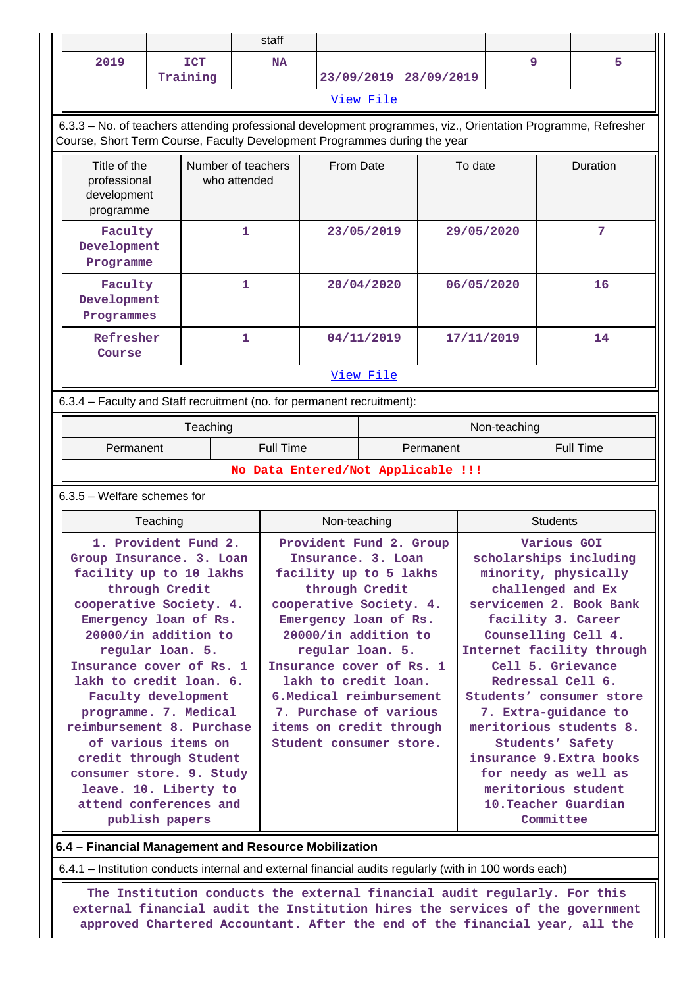|  |                                                                                                                                                                                                                                                                                                                                                                                                                 |                        |              | staff                              |                                                                                                                                                                                                                                                                                                                                |            |            |                                                                                                                                                                                                                                                                                                                                                                                                  |                                   |                  |  |  |
|--|-----------------------------------------------------------------------------------------------------------------------------------------------------------------------------------------------------------------------------------------------------------------------------------------------------------------------------------------------------------------------------------------------------------------|------------------------|--------------|------------------------------------|--------------------------------------------------------------------------------------------------------------------------------------------------------------------------------------------------------------------------------------------------------------------------------------------------------------------------------|------------|------------|--------------------------------------------------------------------------------------------------------------------------------------------------------------------------------------------------------------------------------------------------------------------------------------------------------------------------------------------------------------------------------------------------|-----------------------------------|------------------|--|--|
|  | 2019                                                                                                                                                                                                                                                                                                                                                                                                            | <b>ICT</b><br>Training |              | <b>NA</b>                          |                                                                                                                                                                                                                                                                                                                                | 23/09/2019 | 28/09/2019 |                                                                                                                                                                                                                                                                                                                                                                                                  | 9                                 | 5                |  |  |
|  |                                                                                                                                                                                                                                                                                                                                                                                                                 |                        |              |                                    |                                                                                                                                                                                                                                                                                                                                | View File  |            |                                                                                                                                                                                                                                                                                                                                                                                                  |                                   |                  |  |  |
|  | 6.3.3 - No. of teachers attending professional development programmes, viz., Orientation Programme, Refresher                                                                                                                                                                                                                                                                                                   |                        |              |                                    |                                                                                                                                                                                                                                                                                                                                |            |            |                                                                                                                                                                                                                                                                                                                                                                                                  |                                   |                  |  |  |
|  | Course, Short Term Course, Faculty Development Programmes during the year                                                                                                                                                                                                                                                                                                                                       |                        |              |                                    |                                                                                                                                                                                                                                                                                                                                |            |            |                                                                                                                                                                                                                                                                                                                                                                                                  |                                   |                  |  |  |
|  | Title of the<br>Number of teachers<br>professional<br>who attended<br>development<br>programme                                                                                                                                                                                                                                                                                                                  |                        |              |                                    | From Date                                                                                                                                                                                                                                                                                                                      |            |            | To date                                                                                                                                                                                                                                                                                                                                                                                          |                                   | Duration         |  |  |
|  | Faculty<br>Development<br>Programme<br>Faculty<br>Development<br>Programmes                                                                                                                                                                                                                                                                                                                                     |                        | $\mathbf{1}$ |                                    | 23/05/2019                                                                                                                                                                                                                                                                                                                     |            |            | 29/05/2020                                                                                                                                                                                                                                                                                                                                                                                       | 7                                 |                  |  |  |
|  |                                                                                                                                                                                                                                                                                                                                                                                                                 |                        |              | 1                                  |                                                                                                                                                                                                                                                                                                                                | 20/04/2020 |            |                                                                                                                                                                                                                                                                                                                                                                                                  | 06/05/2020                        | 16               |  |  |
|  | Refresher<br>Course                                                                                                                                                                                                                                                                                                                                                                                             |                        |              | 1                                  |                                                                                                                                                                                                                                                                                                                                | 04/11/2019 |            |                                                                                                                                                                                                                                                                                                                                                                                                  | 17/11/2019                        | 14               |  |  |
|  |                                                                                                                                                                                                                                                                                                                                                                                                                 |                        |              |                                    | View File                                                                                                                                                                                                                                                                                                                      |            |            |                                                                                                                                                                                                                                                                                                                                                                                                  |                                   |                  |  |  |
|  | 6.3.4 - Faculty and Staff recruitment (no. for permanent recruitment):                                                                                                                                                                                                                                                                                                                                          |                        |              |                                    |                                                                                                                                                                                                                                                                                                                                |            |            |                                                                                                                                                                                                                                                                                                                                                                                                  |                                   |                  |  |  |
|  |                                                                                                                                                                                                                                                                                                                                                                                                                 |                        | Teaching     |                                    |                                                                                                                                                                                                                                                                                                                                |            |            |                                                                                                                                                                                                                                                                                                                                                                                                  | Non-teaching                      |                  |  |  |
|  | Permanent                                                                                                                                                                                                                                                                                                                                                                                                       |                        |              |                                    | <b>Full Time</b><br>Permanent                                                                                                                                                                                                                                                                                                  |            |            |                                                                                                                                                                                                                                                                                                                                                                                                  |                                   | <b>Full Time</b> |  |  |
|  |                                                                                                                                                                                                                                                                                                                                                                                                                 |                        |              | No Data Entered/Not Applicable !!! |                                                                                                                                                                                                                                                                                                                                |            |            |                                                                                                                                                                                                                                                                                                                                                                                                  |                                   |                  |  |  |
|  | $6.3.5$ – Welfare schemes for                                                                                                                                                                                                                                                                                                                                                                                   |                        |              |                                    |                                                                                                                                                                                                                                                                                                                                |            |            |                                                                                                                                                                                                                                                                                                                                                                                                  |                                   |                  |  |  |
|  |                                                                                                                                                                                                                                                                                                                                                                                                                 | Teaching               |              |                                    | Non-teaching                                                                                                                                                                                                                                                                                                                   |            |            |                                                                                                                                                                                                                                                                                                                                                                                                  | <b>Students</b>                   |                  |  |  |
|  | Group Insurance. 3. Loan<br>facility up to 10 lakhs<br>through Credit<br>cooperative Society. 4.<br>Emergency loan of Rs.<br>20000/in addition to<br>regular loan. 5.<br>Insurance cover of Rs. 1<br>lakh to credit loan. 6.<br>Faculty development<br>programme. 7. Medical<br>reimbursement 8. Purchase<br>of various items on<br>credit through Student<br>consumer store. 9. Study<br>leave. 10. Liberty to |                        |              |                                    | Insurance. 3. Loan<br>facility up to 5 lakhs<br>through Credit<br>cooperative Society. 4.<br>Emergency loan of Rs.<br>20000/in addition to<br>regular loan. 5.<br>Insurance cover of Rs. 1<br>lakh to credit loan.<br>6. Medical reimbursement<br>7. Purchase of various<br>items on credit through<br>Student consumer store. |            |            | scholarships including<br>minority, physically<br>challenged and Ex<br>servicemen 2. Book Bank<br>facility 3. Career<br>Counselling Cell 4.<br>Internet facility through<br>Cell 5. Grievance<br>Redressal Cell 6.<br>Students' consumer store<br>7. Extra-guidance to<br>meritorious students 8.<br>Students' Safety<br>insurance 9. Extra books<br>for needy as well as<br>meritorious student |                                   |                  |  |  |
|  | attend conferences and<br>publish papers                                                                                                                                                                                                                                                                                                                                                                        |                        |              |                                    |                                                                                                                                                                                                                                                                                                                                |            |            |                                                                                                                                                                                                                                                                                                                                                                                                  | 10. Teacher Guardian<br>Committee |                  |  |  |
|  | $M = 1.313 - 43.$                                                                                                                                                                                                                                                                                                                                                                                               |                        |              |                                    |                                                                                                                                                                                                                                                                                                                                |            |            |                                                                                                                                                                                                                                                                                                                                                                                                  |                                   |                  |  |  |

**6.4 – Financial Management and Resource Mobilization**

6.4.1 – Institution conducts internal and external financial audits regularly (with in 100 words each)

 **The Institution conducts the external financial audit regularly. For this external financial audit the Institution hires the services of the government approved Chartered Accountant. After the end of the financial year, all the**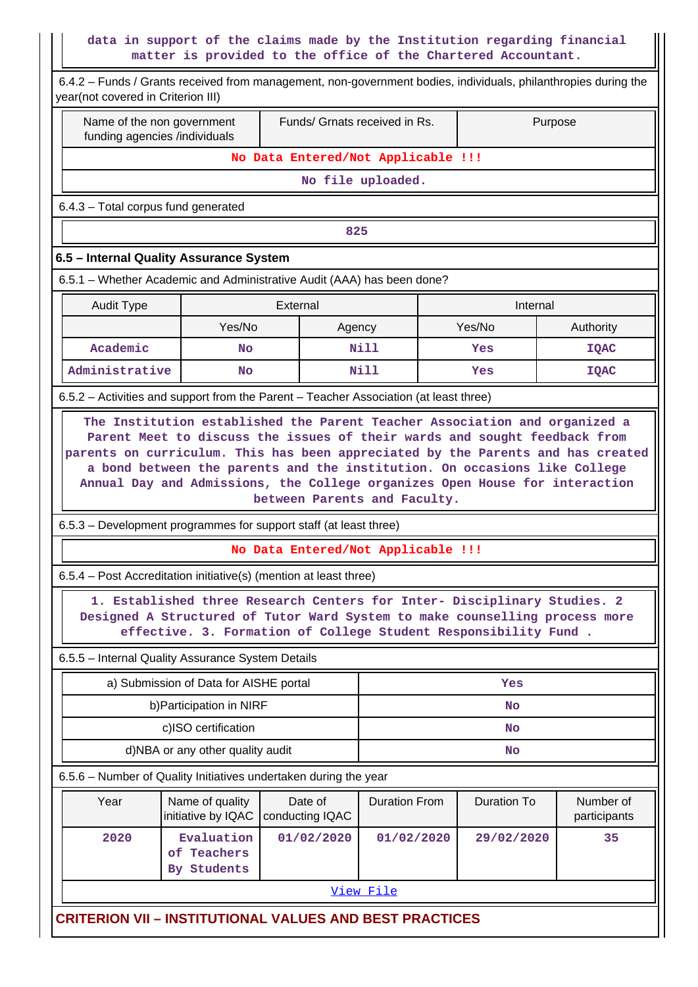### **data in support of the claims made by the Institution regarding financial matter is provided to the office of the Chartered Accountant.**

 $\mathsf{L}$ 

II

|                                                                                       | 6.4.2 – Funds / Grants received from management, non-government bodies, individuals, philanthropies during the<br>year(not covered in Criterion III)                                                                                                                        |                                    |                      |                                                                                                                                                                                                                            |                           |  |  |  |  |  |  |
|---------------------------------------------------------------------------------------|-----------------------------------------------------------------------------------------------------------------------------------------------------------------------------------------------------------------------------------------------------------------------------|------------------------------------|----------------------|----------------------------------------------------------------------------------------------------------------------------------------------------------------------------------------------------------------------------|---------------------------|--|--|--|--|--|--|
| Name of the non government<br>funding agencies /individuals                           |                                                                                                                                                                                                                                                                             | Funds/ Grnats received in Rs.      | Purpose              |                                                                                                                                                                                                                            |                           |  |  |  |  |  |  |
|                                                                                       | No Data Entered/Not Applicable !!!                                                                                                                                                                                                                                          |                                    |                      |                                                                                                                                                                                                                            |                           |  |  |  |  |  |  |
|                                                                                       | No file uploaded.                                                                                                                                                                                                                                                           |                                    |                      |                                                                                                                                                                                                                            |                           |  |  |  |  |  |  |
|                                                                                       | 6.4.3 - Total corpus fund generated                                                                                                                                                                                                                                         |                                    |                      |                                                                                                                                                                                                                            |                           |  |  |  |  |  |  |
| 825                                                                                   |                                                                                                                                                                                                                                                                             |                                    |                      |                                                                                                                                                                                                                            |                           |  |  |  |  |  |  |
| 6.5 - Internal Quality Assurance System                                               |                                                                                                                                                                                                                                                                             |                                    |                      |                                                                                                                                                                                                                            |                           |  |  |  |  |  |  |
| 6.5.1 - Whether Academic and Administrative Audit (AAA) has been done?                |                                                                                                                                                                                                                                                                             |                                    |                      |                                                                                                                                                                                                                            |                           |  |  |  |  |  |  |
| <b>Audit Type</b>                                                                     |                                                                                                                                                                                                                                                                             | External                           |                      | Internal                                                                                                                                                                                                                   |                           |  |  |  |  |  |  |
|                                                                                       | Yes/No                                                                                                                                                                                                                                                                      | Agency                             |                      | Yes/No                                                                                                                                                                                                                     | Authority                 |  |  |  |  |  |  |
| Academic                                                                              | <b>No</b>                                                                                                                                                                                                                                                                   |                                    | Nill                 | Yes                                                                                                                                                                                                                        | <b>IQAC</b>               |  |  |  |  |  |  |
| Administrative                                                                        | No                                                                                                                                                                                                                                                                          |                                    | Nill                 | Yes                                                                                                                                                                                                                        | <b>IQAC</b>               |  |  |  |  |  |  |
| 6.5.2 - Activities and support from the Parent - Teacher Association (at least three) |                                                                                                                                                                                                                                                                             |                                    |                      |                                                                                                                                                                                                                            |                           |  |  |  |  |  |  |
|                                                                                       | parents on curriculum. This has been appreciated by the Parents and has created<br>a bond between the parents and the institution. On occasions like College<br>Annual Day and Admissions, the College organizes Open House for interaction<br>between Parents and Faculty. |                                    |                      |                                                                                                                                                                                                                            |                           |  |  |  |  |  |  |
| 6.5.3 - Development programmes for support staff (at least three)                     |                                                                                                                                                                                                                                                                             |                                    |                      |                                                                                                                                                                                                                            |                           |  |  |  |  |  |  |
|                                                                                       |                                                                                                                                                                                                                                                                             | No Data Entered/Not Applicable !!! |                      |                                                                                                                                                                                                                            |                           |  |  |  |  |  |  |
| 6.5.4 - Post Accreditation initiative(s) (mention at least three)                     |                                                                                                                                                                                                                                                                             |                                    |                      |                                                                                                                                                                                                                            |                           |  |  |  |  |  |  |
|                                                                                       |                                                                                                                                                                                                                                                                             |                                    |                      | 1. Established three Research Centers for Inter- Disciplinary Studies. 2<br>Designed A Structured of Tutor Ward System to make counselling process more<br>effective. 3. Formation of College Student Responsibility Fund. |                           |  |  |  |  |  |  |
| 6.5.5 - Internal Quality Assurance System Details                                     |                                                                                                                                                                                                                                                                             |                                    |                      |                                                                                                                                                                                                                            |                           |  |  |  |  |  |  |
|                                                                                       | a) Submission of Data for AISHE portal                                                                                                                                                                                                                                      |                                    |                      | Yes                                                                                                                                                                                                                        |                           |  |  |  |  |  |  |
|                                                                                       | b) Participation in NIRF                                                                                                                                                                                                                                                    |                                    | No                   |                                                                                                                                                                                                                            |                           |  |  |  |  |  |  |
|                                                                                       | c)ISO certification                                                                                                                                                                                                                                                         |                                    |                      | No                                                                                                                                                                                                                         |                           |  |  |  |  |  |  |
|                                                                                       | d)NBA or any other quality audit                                                                                                                                                                                                                                            |                                    |                      | <b>No</b>                                                                                                                                                                                                                  |                           |  |  |  |  |  |  |
| 6.5.6 - Number of Quality Initiatives undertaken during the year                      |                                                                                                                                                                                                                                                                             |                                    |                      |                                                                                                                                                                                                                            |                           |  |  |  |  |  |  |
| Year                                                                                  | Name of quality<br>initiative by IQAC                                                                                                                                                                                                                                       | Date of<br>conducting IQAC         | <b>Duration From</b> | <b>Duration To</b>                                                                                                                                                                                                         | Number of<br>participants |  |  |  |  |  |  |
| 2020                                                                                  | Evaluation<br>of Teachers<br>By Students                                                                                                                                                                                                                                    | 01/02/2020                         | 01/02/2020           | 29/02/2020                                                                                                                                                                                                                 | 35                        |  |  |  |  |  |  |
|                                                                                       |                                                                                                                                                                                                                                                                             |                                    | View File            |                                                                                                                                                                                                                            |                           |  |  |  |  |  |  |
| <b>CRITERION VII - INSTITUTIONAL VALUES AND BEST PRACTICES</b>                        |                                                                                                                                                                                                                                                                             |                                    |                      |                                                                                                                                                                                                                            |                           |  |  |  |  |  |  |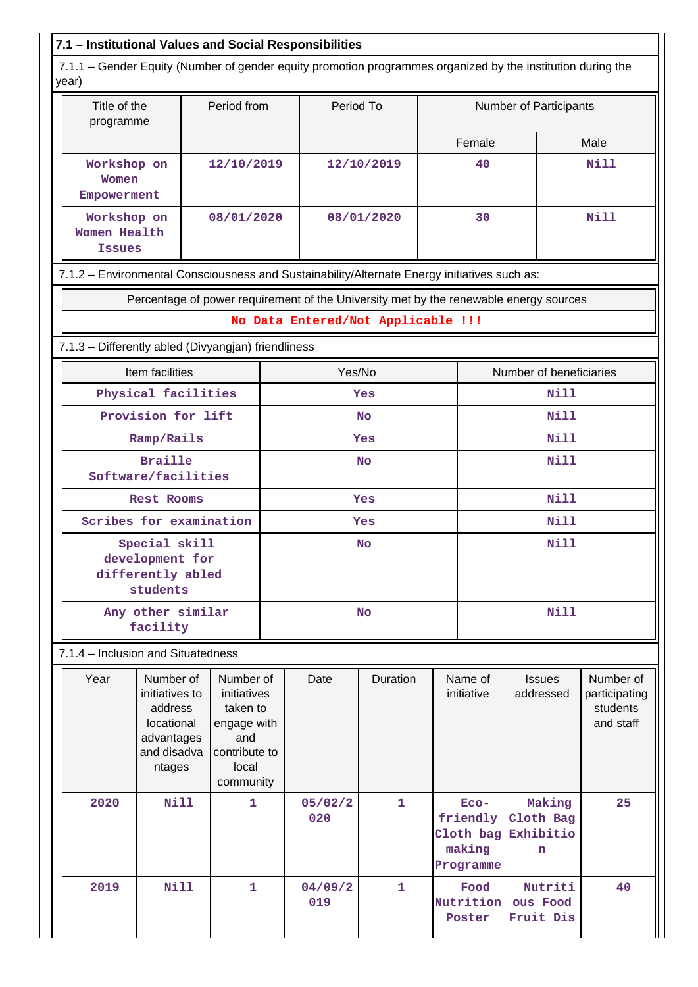# **7.1 – Institutional Values and Social Responsibilities**

 7.1.1 – Gender Equity (Number of gender equity promotion programmes organized by the institution during the year)

| l yuu j                                                                                      |                                                                                             |                                                                                                   |            |                |                                    |                        |                                                      |                                       |                                                     |  |  |
|----------------------------------------------------------------------------------------------|---------------------------------------------------------------------------------------------|---------------------------------------------------------------------------------------------------|------------|----------------|------------------------------------|------------------------|------------------------------------------------------|---------------------------------------|-----------------------------------------------------|--|--|
|                                                                                              | Title of the<br>Period from<br>programme                                                    |                                                                                                   |            | Period To      |                                    | Number of Participants |                                                      |                                       |                                                     |  |  |
|                                                                                              |                                                                                             |                                                                                                   |            |                |                                    |                        | Female                                               |                                       | Male                                                |  |  |
| Workshop on<br>Women<br>Empowerment                                                          |                                                                                             | 12/10/2019                                                                                        |            |                | 12/10/2019                         | 40                     |                                                      |                                       | <b>Nill</b>                                         |  |  |
|                                                                                              | Workshop on<br>Women Health<br><b>Issues</b>                                                |                                                                                                   | 08/01/2020 |                | 08/01/2020                         | 30                     |                                                      | <b>Nill</b>                           |                                                     |  |  |
| 7.1.2 - Environmental Consciousness and Sustainability/Alternate Energy initiatives such as: |                                                                                             |                                                                                                   |            |                |                                    |                        |                                                      |                                       |                                                     |  |  |
|                                                                                              | Percentage of power requirement of the University met by the renewable energy sources       |                                                                                                   |            |                |                                    |                        |                                                      |                                       |                                                     |  |  |
|                                                                                              |                                                                                             |                                                                                                   |            |                | No Data Entered/Not Applicable !!! |                        |                                                      |                                       |                                                     |  |  |
| 7.1.3 - Differently abled (Divyangjan) friendliness                                          |                                                                                             |                                                                                                   |            |                |                                    |                        |                                                      |                                       |                                                     |  |  |
|                                                                                              | Item facilities                                                                             |                                                                                                   |            | Yes/No         |                                    |                        | Number of beneficiaries                              |                                       |                                                     |  |  |
|                                                                                              | Physical facilities                                                                         |                                                                                                   |            |                | Yes                                |                        |                                                      | <b>Nill</b>                           |                                                     |  |  |
|                                                                                              | Provision for lift                                                                          |                                                                                                   |            |                | <b>No</b>                          |                        |                                                      | <b>Nill</b>                           |                                                     |  |  |
|                                                                                              | Ramp/Rails                                                                                  |                                                                                                   |            |                | Yes                                |                        | <b>Nill</b>                                          |                                       |                                                     |  |  |
|                                                                                              | <b>Braille</b><br>Software/facilities                                                       |                                                                                                   |            | <b>No</b>      |                                    |                        |                                                      | Nill                                  |                                                     |  |  |
|                                                                                              | <b>Rest Rooms</b>                                                                           |                                                                                                   |            | Yes            |                                    |                        |                                                      | <b>Nill</b>                           |                                                     |  |  |
| Scribes for examination                                                                      |                                                                                             |                                                                                                   |            |                | Yes                                |                        |                                                      | Nill                                  |                                                     |  |  |
| Special skill<br>development for<br>differently abled<br>students                            |                                                                                             | <b>No</b>                                                                                         |            |                |                                    |                        | <b>Nill</b>                                          |                                       |                                                     |  |  |
| Any other similar<br>facility                                                                |                                                                                             |                                                                                                   |            |                | No                                 |                        |                                                      | Nill                                  |                                                     |  |  |
| 7.1.4 - Inclusion and Situatedness                                                           |                                                                                             |                                                                                                   |            |                |                                    |                        |                                                      |                                       |                                                     |  |  |
| Year                                                                                         | Number of<br>initiatives to<br>address<br>locational<br>advantages<br>and disadva<br>ntages | Number of<br>initiatives<br>taken to<br>engage with<br>and<br>contribute to<br>local<br>community |            | Date           | Duration                           |                        | Name of<br>initiative                                | Issues<br>addressed                   | Number of<br>participating<br>students<br>and staff |  |  |
| 2020                                                                                         | Nill                                                                                        | $\mathbf{1}$                                                                                      |            | 05/02/2<br>020 | $\mathbf{1}$                       |                        | Eco-<br>friendly<br>Cloth bag<br>making<br>Programme | Making<br>Cloth Bag<br>Exhibitio<br>n | 25                                                  |  |  |
| 2019                                                                                         | <b>Nill</b>                                                                                 | 1                                                                                                 |            | 04/09/2<br>019 | 1                                  |                        | Food<br>Nutrition<br>Poster                          | Nutriti<br>ous Food<br>Fruit Dis      | 40                                                  |  |  |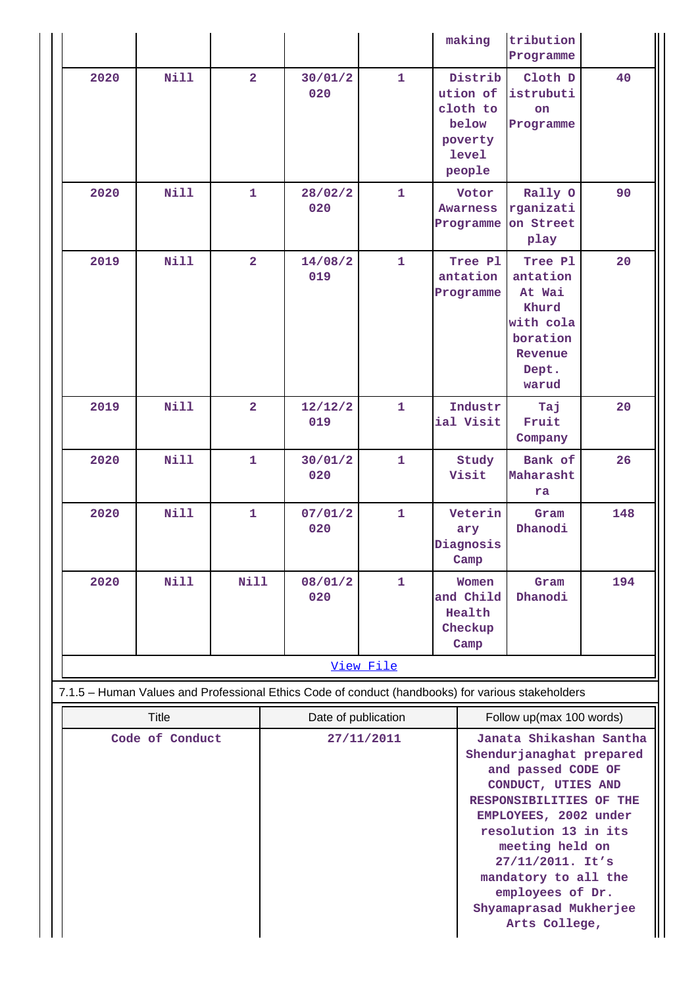|                                                                                                   |                                                                        |                |           |                     |              |                                                 | making                                                                        | tribution<br>Programme                                                                                                                                                                                                                                                                                    |     |  |
|---------------------------------------------------------------------------------------------------|------------------------------------------------------------------------|----------------|-----------|---------------------|--------------|-------------------------------------------------|-------------------------------------------------------------------------------|-----------------------------------------------------------------------------------------------------------------------------------------------------------------------------------------------------------------------------------------------------------------------------------------------------------|-----|--|
| 2020                                                                                              | <b>Nill</b>                                                            | $\overline{2}$ |           | 30/01/2<br>020      | $\mathbf{1}$ |                                                 | Distrib<br>ution of<br>cloth to<br>below<br>poverty<br><b>level</b><br>people | Cloth D<br>istrubuti<br><b>on</b><br>Programme                                                                                                                                                                                                                                                            | 40  |  |
| 2020                                                                                              | <b>Nill</b>                                                            | $\mathbf{1}$   |           | 28/02/2<br>020      | 1            |                                                 | Votor<br><b>Awarness</b><br>Programme                                         | Rally O<br>rganizati<br>on Street<br>play                                                                                                                                                                                                                                                                 | 90  |  |
| 2019                                                                                              | <b>Nill</b><br>$\overline{2}$<br>2019<br><b>Nill</b><br>$\overline{2}$ |                |           | 14/08/2<br>019      | $\mathbf{1}$ |                                                 | Tree Pl<br>antation<br>Programme                                              | Tree Pl<br>antation<br>At Wai<br>Khurd<br>with cola<br>boration<br>Revenue<br>Dept.<br>warud                                                                                                                                                                                                              | 20  |  |
|                                                                                                   |                                                                        |                |           | 12/12/2<br>019      | $\mathbf{1}$ |                                                 | Industr<br>ial Visit                                                          | Taj<br>Fruit<br>Company                                                                                                                                                                                                                                                                                   | 20  |  |
| 2020                                                                                              | <b>Nill</b>                                                            | $\mathbf{1}$   |           | 30/01/2<br>020      | $\mathbf{1}$ |                                                 | Study<br>Visit                                                                | Bank of<br>Maharasht<br>ra                                                                                                                                                                                                                                                                                | 26  |  |
| 2020                                                                                              | <b>Nill</b>                                                            | $\mathbf{1}$   |           | 07/01/2<br>020      | $\mathbf{1}$ |                                                 | Veterin<br>ary<br>Diagnosis<br>Camp                                           | Gram<br>Dhanodi                                                                                                                                                                                                                                                                                           | 148 |  |
| 2020                                                                                              | <b>Nill</b><br><b>Nill</b>                                             |                |           | 08/01/2<br>1<br>020 |              | Women<br>and Child<br>Health<br>Checkup<br>Camp | Gram<br>Dhanodi                                                               | 194                                                                                                                                                                                                                                                                                                       |     |  |
|                                                                                                   |                                                                        |                | View File |                     |              |                                                 |                                                                               |                                                                                                                                                                                                                                                                                                           |     |  |
| 7.1.5 - Human Values and Professional Ethics Code of conduct (handbooks) for various stakeholders |                                                                        |                |           |                     |              |                                                 |                                                                               |                                                                                                                                                                                                                                                                                                           |     |  |
| <b>Title</b>                                                                                      |                                                                        |                |           | Date of publication |              |                                                 |                                                                               | Follow up(max 100 words)                                                                                                                                                                                                                                                                                  |     |  |
| Code of Conduct                                                                                   |                                                                        |                |           | 27/11/2011          |              |                                                 |                                                                               | Janata Shikashan Santha<br>Shendurjanaghat prepared<br>and passed CODE OF<br>CONDUCT, UTIES AND<br>RESPONSIBILITIES OF THE<br>EMPLOYEES, 2002 under<br>resolution 13 in its<br>meeting held on<br>27/11/2011. It's<br>mandatory to all the<br>employees of Dr.<br>Shyamaprasad Mukherjee<br>Arts College, |     |  |

Ш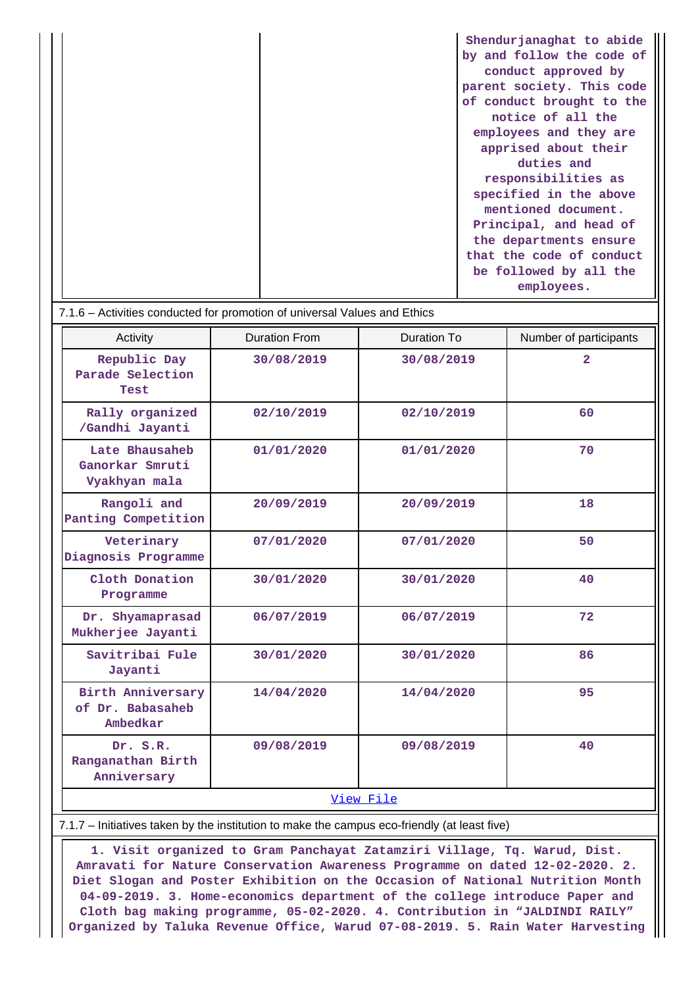| Shendurjanaghat to abide  |
|---------------------------|
| by and follow the code of |
| conduct approved by       |
| parent society. This code |
| of conduct brought to the |
| notice of all the         |
| employees and they are    |
| apprised about their      |
| duties and                |
| responsibilities as       |
| specified in the above    |
| mentioned document.       |
| Principal, and head of    |
| the departments ensure    |
| that the code of conduct  |
| be followed by all the    |
| employees.                |

#### 7.1.6 – Activities conducted for promotion of universal Values and Ethics

| Activity                                           | <b>Duration From</b> | Duration To | Number of participants |  |  |  |  |  |
|----------------------------------------------------|----------------------|-------------|------------------------|--|--|--|--|--|
| Republic Day<br>Parade Selection<br>Test           | 30/08/2019           | 30/08/2019  | $\overline{2}$         |  |  |  |  |  |
| Rally organized<br>/Gandhi Jayanti                 | 02/10/2019           | 02/10/2019  | 60                     |  |  |  |  |  |
| Late Bhausaheb<br>Ganorkar Smruti<br>Vyakhyan mala | 01/01/2020           | 01/01/2020  | 70                     |  |  |  |  |  |
| Rangoli and<br>Panting Competition                 | 20/09/2019           | 20/09/2019  | 18                     |  |  |  |  |  |
| Veterinary<br>Diagnosis Programme                  | 07/01/2020           | 07/01/2020  | 50                     |  |  |  |  |  |
| Cloth Donation<br>Programme                        | 30/01/2020           | 30/01/2020  | 40                     |  |  |  |  |  |
| Dr. Shyamaprasad<br>Mukherjee Jayanti              | 06/07/2019           | 06/07/2019  | 72                     |  |  |  |  |  |
| Savitribai Fule<br>Jayanti                         | 30/01/2020           | 30/01/2020  | 86                     |  |  |  |  |  |
| Birth Anniversary<br>of Dr. Babasaheb<br>Ambedkar  | 14/04/2020           | 14/04/2020  | 95                     |  |  |  |  |  |
| Dr. S.R.<br>Ranganathan Birth<br>Anniversary       | 09/08/2019           | 09/08/2019  | 40                     |  |  |  |  |  |
| View File                                          |                      |             |                        |  |  |  |  |  |

#### 7.1.7 – Initiatives taken by the institution to make the campus eco-friendly (at least five)

 **1. Visit organized to Gram Panchayat Zatamziri Village, Tq. Warud, Dist. Amravati for Nature Conservation Awareness Programme on dated 12-02-2020. 2. Diet Slogan and Poster Exhibition on the Occasion of National Nutrition Month 04-09-2019. 3. Home-economics department of the college introduce Paper and Cloth bag making programme, 05-02-2020. 4. Contribution in "JALDINDI RAILY" Organized by Taluka Revenue Office, Warud 07-08-2019. 5. Rain Water Harvesting**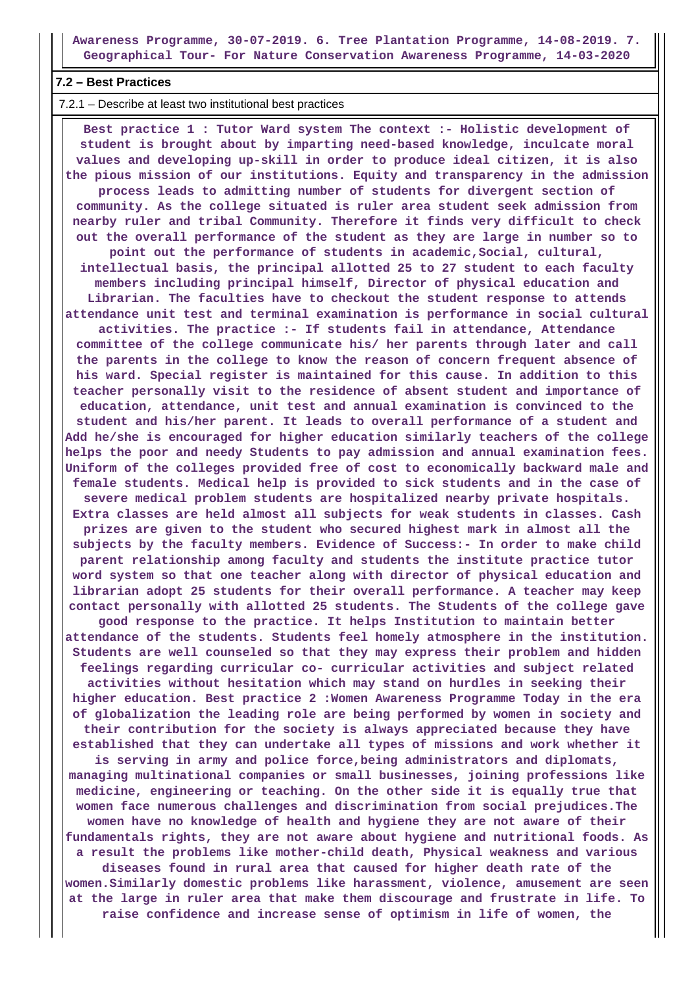**Awareness Programme, 30-07-2019. 6. Tree Plantation Programme, 14-08-2019. 7. Geographical Tour- For Nature Conservation Awareness Programme, 14-03-2020**

#### **7.2 – Best Practices**

7.2.1 – Describe at least two institutional best practices

 **Best practice 1 : Tutor Ward system The context :- Holistic development of student is brought about by imparting need-based knowledge, inculcate moral values and developing up-skill in order to produce ideal citizen, it is also the pious mission of our institutions. Equity and transparency in the admission process leads to admitting number of students for divergent section of community. As the college situated is ruler area student seek admission from nearby ruler and tribal Community. Therefore it finds very difficult to check out the overall performance of the student as they are large in number so to point out the performance of students in academic,Social, cultural, intellectual basis, the principal allotted 25 to 27 student to each faculty members including principal himself, Director of physical education and Librarian. The faculties have to checkout the student response to attends attendance unit test and terminal examination is performance in social cultural activities. The practice :- If students fail in attendance, Attendance committee of the college communicate his/ her parents through later and call the parents in the college to know the reason of concern frequent absence of his ward. Special register is maintained for this cause. In addition to this teacher personally visit to the residence of absent student and importance of education, attendance, unit test and annual examination is convinced to the student and his/her parent. It leads to overall performance of a student and Add he/she is encouraged for higher education similarly teachers of the college helps the poor and needy Students to pay admission and annual examination fees. Uniform of the colleges provided free of cost to economically backward male and female students. Medical help is provided to sick students and in the case of severe medical problem students are hospitalized nearby private hospitals. Extra classes are held almost all subjects for weak students in classes. Cash prizes are given to the student who secured highest mark in almost all the subjects by the faculty members. Evidence of Success:- In order to make child parent relationship among faculty and students the institute practice tutor word system so that one teacher along with director of physical education and librarian adopt 25 students for their overall performance. A teacher may keep contact personally with allotted 25 students. The Students of the college gave good response to the practice. It helps Institution to maintain better attendance of the students. Students feel homely atmosphere in the institution. Students are well counseled so that they may express their problem and hidden feelings regarding curricular co- curricular activities and subject related activities without hesitation which may stand on hurdles in seeking their higher education. Best practice 2 :Women Awareness Programme Today in the era of globalization the leading role are being performed by women in society and their contribution for the society is always appreciated because they have established that they can undertake all types of missions and work whether it is serving in army and police force,being administrators and diplomats, managing multinational companies or small businesses, joining professions like medicine, engineering or teaching. On the other side it is equally true that women face numerous challenges and discrimination from social prejudices.The women have no knowledge of health and hygiene they are not aware of their fundamentals rights, they are not aware about hygiene and nutritional foods. As a result the problems like mother-child death, Physical weakness and various diseases found in rural area that caused for higher death rate of the women.Similarly domestic problems like harassment, violence, amusement are seen at the large in ruler area that make them discourage and frustrate in life. To raise confidence and increase sense of optimism in life of women, the**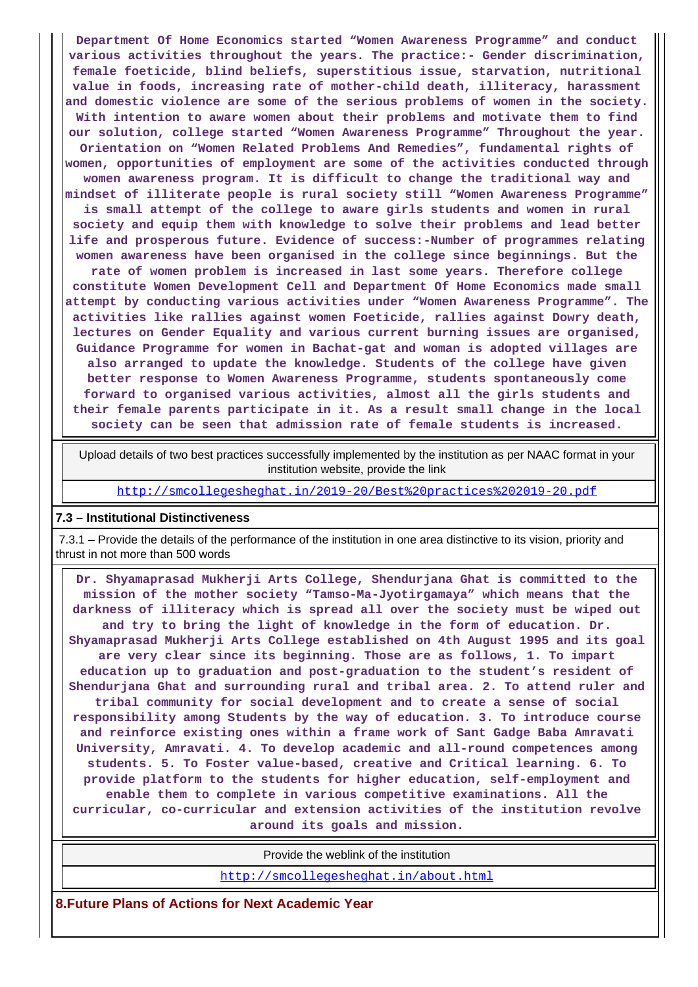**Department Of Home Economics started "Women Awareness Programme" and conduct various activities throughout the years. The practice:- Gender discrimination, female foeticide, blind beliefs, superstitious issue, starvation, nutritional value in foods, increasing rate of mother-child death, illiteracy, harassment and domestic violence are some of the serious problems of women in the society. With intention to aware women about their problems and motivate them to find our solution, college started "Women Awareness Programme" Throughout the year. Orientation on "Women Related Problems And Remedies", fundamental rights of women, opportunities of employment are some of the activities conducted through women awareness program. It is difficult to change the traditional way and mindset of illiterate people is rural society still "Women Awareness Programme" is small attempt of the college to aware girls students and women in rural society and equip them with knowledge to solve their problems and lead better life and prosperous future. Evidence of success:-Number of programmes relating women awareness have been organised in the college since beginnings. But the rate of women problem is increased in last some years. Therefore college constitute Women Development Cell and Department Of Home Economics made small attempt by conducting various activities under "Women Awareness Programme". The activities like rallies against women Foeticide, rallies against Dowry death, lectures on Gender Equality and various current burning issues are organised, Guidance Programme for women in Bachat-gat and woman is adopted villages are also arranged to update the knowledge. Students of the college have given better response to Women Awareness Programme, students spontaneously come forward to organised various activities, almost all the girls students and their female parents participate in it. As a result small change in the local society can be seen that admission rate of female students is increased.**

 Upload details of two best practices successfully implemented by the institution as per NAAC format in your institution website, provide the link

<http://smcollegesheghat.in/2019-20/Best%20practices%202019-20.pdf>

#### **7.3 – Institutional Distinctiveness**

 7.3.1 – Provide the details of the performance of the institution in one area distinctive to its vision, priority and thrust in not more than 500 words

 **Dr. Shyamaprasad Mukherji Arts College, Shendurjana Ghat is committed to the mission of the mother society "Tamso-Ma-Jyotirgamaya" which means that the darkness of illiteracy which is spread all over the society must be wiped out and try to bring the light of knowledge in the form of education. Dr. Shyamaprasad Mukherji Arts College established on 4th August 1995 and its goal are very clear since its beginning. Those are as follows, 1. To impart education up to graduation and post-graduation to the student's resident of Shendurjana Ghat and surrounding rural and tribal area. 2. To attend ruler and tribal community for social development and to create a sense of social responsibility among Students by the way of education. 3. To introduce course and reinforce existing ones within a frame work of Sant Gadge Baba Amravati University, Amravati. 4. To develop academic and all-round competences among students. 5. To Foster value-based, creative and Critical learning. 6. To provide platform to the students for higher education, self-employment and enable them to complete in various competitive examinations. All the curricular, co-curricular and extension activities of the institution revolve around its goals and mission.**

Provide the weblink of the institution

<http://smcollegesheghat.in/about.html>

**8.Future Plans of Actions for Next Academic Year**